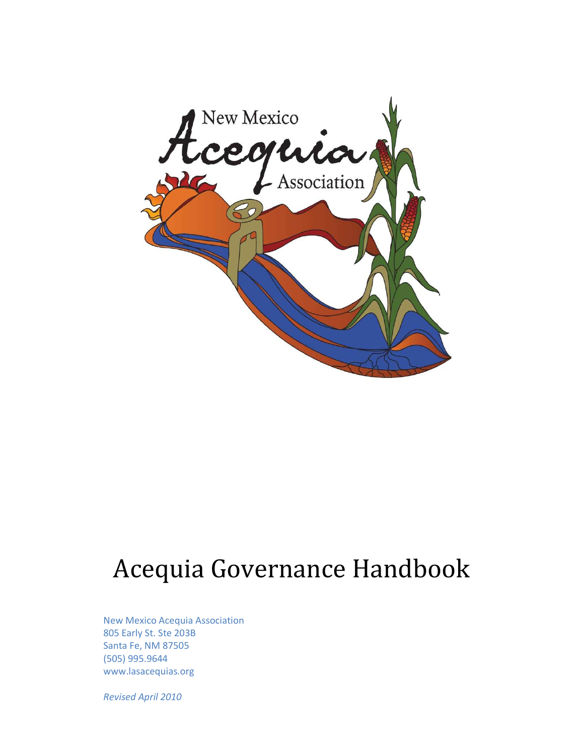

# Acequia Governance Handbook

New Mexico Acequia Association 805 Early St. Ste 203B Santa Fe, NM 87505 (505) 995.9644 www.lasacequias.org

Revised April 2010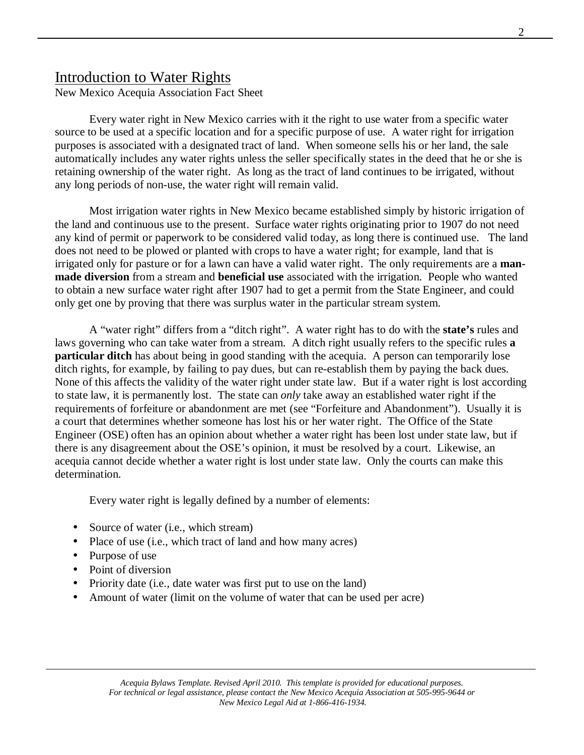# Introduction to Water Rights

New Mexico Acequia Association Fact Sheet

Every water right in New Mexico carries with it the right to use water from a specific water source to be used at a specific location and for a specific purpose of use. A water right for irrigation purposes is associated with a designated tract of land. When someone sells his or her land, the sale automatically includes any water rights unless the seller specifically states in the deed that he or she is retaining ownership of the water right. As long as the tract of land continues to be irrigated, without any long periods of non-use, the water right will remain valid.

Most irrigation water rights in New Mexico became established simply by historic irrigation of the land and continuous use to the present. Surface water rights originating prior to 1907 do not need any kind of permit or paperwork to be considered valid today, as long there is continued use. The land does not need to be plowed or planted with crops to have a water right; for example, land that is irrigated only for pasture or for a lawn can have a valid water right. The only requirements are a **manmade diversion** from a stream and **beneficial use** associated with the irrigation. People who wanted to obtain a new surface water right after 1907 had to get a permit from the State Engineer, and could only get one by proving that there was surplus water in the particular stream system.

A "water right" differs from a "ditch right". A water right has to do with the **state's** rules and laws governing who can take water from a stream. A ditch right usually refers to the specific rules **a particular ditch** has about being in good standing with the acequia. A person can temporarily lose ditch rights, for example, by failing to pay dues, but can re-establish them by paying the back dues. None of this affects the validity of the water right under state law. But if a water right is lost according to state law, it is permanently lost. The state can *only* take away an established water right if the requirements of forfeiture or abandonment are met (see "Forfeiture and Abandonment"). Usually it is a court that determines whether someone has lost his or her water right. The Office of the State Engineer (OSE) often has an opinion about whether a water right has been lost under state law, but if there is any disagreement about the OSE's opinion, it must be resolved by a court. Likewise, an acequia cannot decide whether a water right is lost under state law. Only the courts can make this determination.

Every water right is legally defined by a number of elements:

- Source of water (i.e., which stream)
- Place of use (i.e., which tract of land and how many acres)
- Purpose of use
- Point of diversion
- Priority date (i.e., date water was first put to use on the land)
- Amount of water (limit on the volume of water that can be used per acre)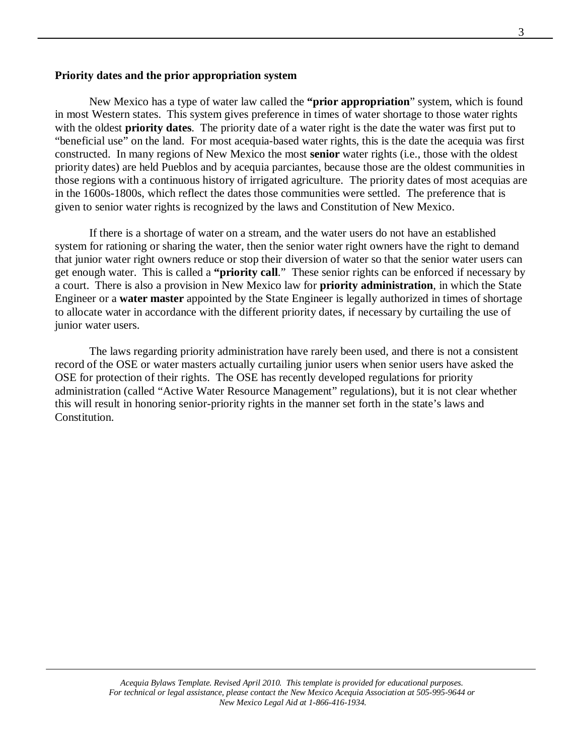#### **Priority dates and the prior appropriation system**

 New Mexico has a type of water law called the **"prior appropriation**" system, which is found in most Western states. This system gives preference in times of water shortage to those water rights with the oldest **priority dates**. The priority date of a water right is the date the water was first put to "beneficial use" on the land. For most acequia-based water rights, this is the date the acequia was first constructed. In many regions of New Mexico the most **senior** water rights (i.e., those with the oldest priority dates) are held Pueblos and by acequia parciantes, because those are the oldest communities in those regions with a continuous history of irrigated agriculture. The priority dates of most acequias are in the 1600s-1800s, which reflect the dates those communities were settled. The preference that is given to senior water rights is recognized by the laws and Constitution of New Mexico.

 If there is a shortage of water on a stream, and the water users do not have an established system for rationing or sharing the water, then the senior water right owners have the right to demand that junior water right owners reduce or stop their diversion of water so that the senior water users can get enough water. This is called a **"priority call**." These senior rights can be enforced if necessary by a court. There is also a provision in New Mexico law for **priority administration**, in which the State Engineer or a **water master** appointed by the State Engineer is legally authorized in times of shortage to allocate water in accordance with the different priority dates, if necessary by curtailing the use of junior water users.

The laws regarding priority administration have rarely been used, and there is not a consistent record of the OSE or water masters actually curtailing junior users when senior users have asked the OSE for protection of their rights. The OSE has recently developed regulations for priority administration (called "Active Water Resource Management" regulations), but it is not clear whether this will result in honoring senior-priority rights in the manner set forth in the state's laws and Constitution.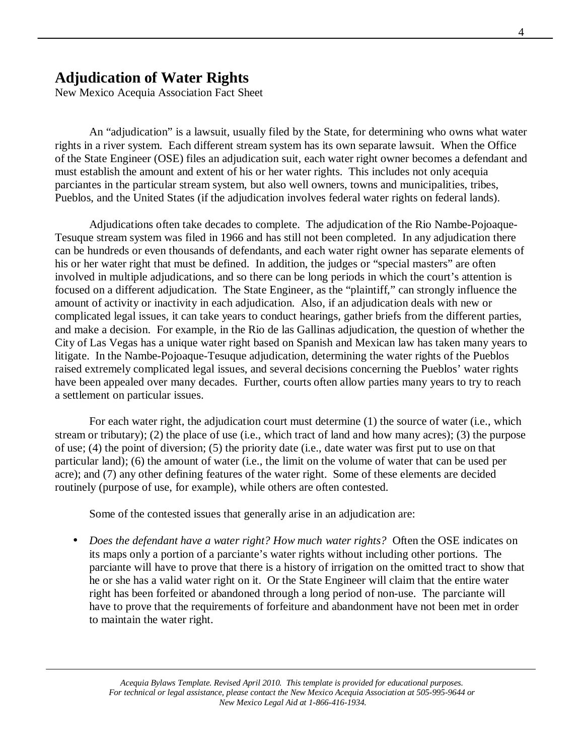# **Adjudication of Water Rights**

New Mexico Acequia Association Fact Sheet

An "adjudication" is a lawsuit, usually filed by the State, for determining who owns what water rights in a river system. Each different stream system has its own separate lawsuit. When the Office of the State Engineer (OSE) files an adjudication suit, each water right owner becomes a defendant and must establish the amount and extent of his or her water rights. This includes not only acequia parciantes in the particular stream system, but also well owners, towns and municipalities, tribes, Pueblos, and the United States (if the adjudication involves federal water rights on federal lands).

 Adjudications often take decades to complete. The adjudication of the Rio Nambe-Pojoaque-Tesuque stream system was filed in 1966 and has still not been completed. In any adjudication there can be hundreds or even thousands of defendants, and each water right owner has separate elements of his or her water right that must be defined. In addition, the judges or "special masters" are often involved in multiple adjudications, and so there can be long periods in which the court's attention is focused on a different adjudication. The State Engineer, as the "plaintiff," can strongly influence the amount of activity or inactivity in each adjudication. Also, if an adjudication deals with new or complicated legal issues, it can take years to conduct hearings, gather briefs from the different parties, and make a decision. For example, in the Rio de las Gallinas adjudication, the question of whether the City of Las Vegas has a unique water right based on Spanish and Mexican law has taken many years to litigate. In the Nambe-Pojoaque-Tesuque adjudication, determining the water rights of the Pueblos raised extremely complicated legal issues, and several decisions concerning the Pueblos' water rights have been appealed over many decades. Further, courts often allow parties many years to try to reach a settlement on particular issues.

 For each water right, the adjudication court must determine (1) the source of water (i.e., which stream or tributary); (2) the place of use (i.e., which tract of land and how many acres); (3) the purpose of use; (4) the point of diversion; (5) the priority date (i.e., date water was first put to use on that particular land); (6) the amount of water (i.e., the limit on the volume of water that can be used per acre); and (7) any other defining features of the water right. Some of these elements are decided routinely (purpose of use, for example), while others are often contested.

Some of the contested issues that generally arise in an adjudication are:

• *Does the defendant have a water right? How much water rights?* Often the OSE indicates on its maps only a portion of a parciante's water rights without including other portions. The parciante will have to prove that there is a history of irrigation on the omitted tract to show that he or she has a valid water right on it. Or the State Engineer will claim that the entire water right has been forfeited or abandoned through a long period of non-use. The parciante will have to prove that the requirements of forfeiture and abandonment have not been met in order to maintain the water right.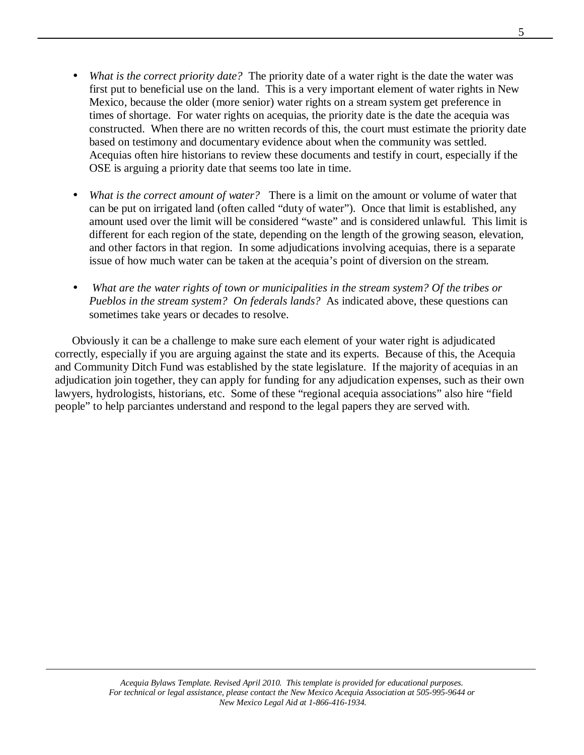- *What is the correct priority date?* The priority date of a water right is the date the water was first put to beneficial use on the land. This is a very important element of water rights in New Mexico, because the older (more senior) water rights on a stream system get preference in times of shortage. For water rights on acequias, the priority date is the date the acequia was constructed. When there are no written records of this, the court must estimate the priority date based on testimony and documentary evidence about when the community was settled. Acequias often hire historians to review these documents and testify in court, especially if the OSE is arguing a priority date that seems too late in time.
- *What is the correct amount of water?* There is a limit on the amount or volume of water that can be put on irrigated land (often called "duty of water"). Once that limit is established, any amount used over the limit will be considered "waste" and is considered unlawful. This limit is different for each region of the state, depending on the length of the growing season, elevation, and other factors in that region. In some adjudications involving acequias, there is a separate issue of how much water can be taken at the acequia's point of diversion on the stream.
- • *What are the water rights of town or municipalities in the stream system? Of the tribes or Pueblos in the stream system? On federals lands?* As indicated above, these questions can sometimes take years or decades to resolve.

Obviously it can be a challenge to make sure each element of your water right is adjudicated correctly, especially if you are arguing against the state and its experts. Because of this, the Acequia and Community Ditch Fund was established by the state legislature. If the majority of acequias in an adjudication join together, they can apply for funding for any adjudication expenses, such as their own lawyers, hydrologists, historians, etc. Some of these "regional acequia associations" also hire "field people" to help parciantes understand and respond to the legal papers they are served with.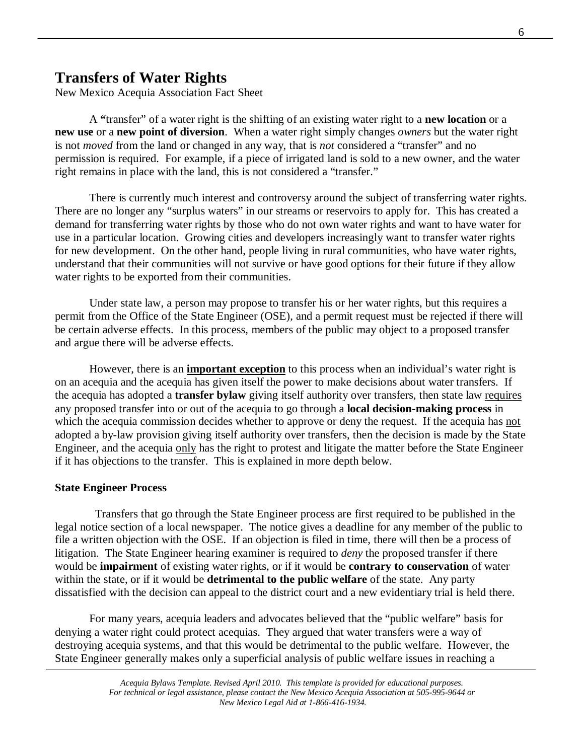# **Transfers of Water Rights**

New Mexico Acequia Association Fact Sheet

A **"**transfer" of a water right is the shifting of an existing water right to a **new location** or a **new use** or a **new point of diversion**. When a water right simply changes *owners* but the water right is not *moved* from the land or changed in any way, that is *not* considered a "transfer" and no permission is required. For example, if a piece of irrigated land is sold to a new owner, and the water right remains in place with the land, this is not considered a "transfer."

There is currently much interest and controversy around the subject of transferring water rights. There are no longer any "surplus waters" in our streams or reservoirs to apply for. This has created a demand for transferring water rights by those who do not own water rights and want to have water for use in a particular location. Growing cities and developers increasingly want to transfer water rights for new development. On the other hand, people living in rural communities, who have water rights, understand that their communities will not survive or have good options for their future if they allow water rights to be exported from their communities.

Under state law, a person may propose to transfer his or her water rights, but this requires a permit from the Office of the State Engineer (OSE), and a permit request must be rejected if there will be certain adverse effects. In this process, members of the public may object to a proposed transfer and argue there will be adverse effects.

However, there is an **important exception** to this process when an individual's water right is on an acequia and the acequia has given itself the power to make decisions about water transfers. If the acequia has adopted a **transfer bylaw** giving itself authority over transfers, then state law requires any proposed transfer into or out of the acequia to go through a **local decision-making process** in which the acequia commission decides whether to approve or deny the request. If the acequia has not adopted a by-law provision giving itself authority over transfers, then the decision is made by the State Engineer, and the acequia only has the right to protest and litigate the matter before the State Engineer if it has objections to the transfer. This is explained in more depth below.

# **State Engineer Process**

 Transfers that go through the State Engineer process are first required to be published in the legal notice section of a local newspaper. The notice gives a deadline for any member of the public to file a written objection with the OSE. If an objection is filed in time, there will then be a process of litigation. The State Engineer hearing examiner is required to *deny* the proposed transfer if there would be **impairment** of existing water rights, or if it would be **contrary to conservation** of water within the state, or if it would be **detrimental to the public welfare** of the state. Any party dissatisfied with the decision can appeal to the district court and a new evidentiary trial is held there.

For many years, acequia leaders and advocates believed that the "public welfare" basis for denying a water right could protect acequias. They argued that water transfers were a way of destroying acequia systems, and that this would be detrimental to the public welfare. However, the State Engineer generally makes only a superficial analysis of public welfare issues in reaching a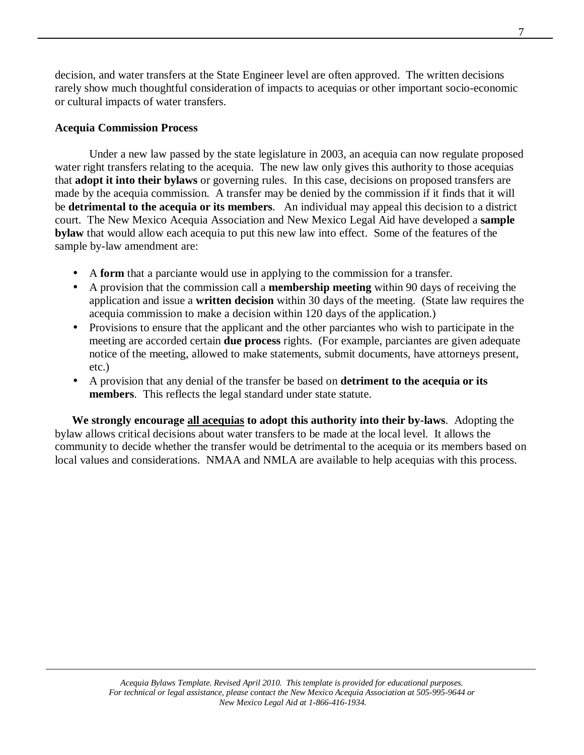decision, and water transfers at the State Engineer level are often approved. The written decisions rarely show much thoughtful consideration of impacts to acequias or other important socio-economic or cultural impacts of water transfers.

# **Acequia Commission Process**

Under a new law passed by the state legislature in 2003, an acequia can now regulate proposed water right transfers relating to the acequia. The new law only gives this authority to those acequias that **adopt it into their bylaws** or governing rules. In this case, decisions on proposed transfers are made by the acequia commission. A transfer may be denied by the commission if it finds that it will be **detrimental to the acequia or its members**. An individual may appeal this decision to a district court. The New Mexico Acequia Association and New Mexico Legal Aid have developed a **sample bylaw** that would allow each acequia to put this new law into effect. Some of the features of the sample by-law amendment are:

- A **form** that a parciante would use in applying to the commission for a transfer.
- A provision that the commission call a **membership meeting** within 90 days of receiving the application and issue a **written decision** within 30 days of the meeting. (State law requires the acequia commission to make a decision within 120 days of the application.)
- Provisions to ensure that the applicant and the other parciantes who wish to participate in the meeting are accorded certain **due process** rights. (For example, parciantes are given adequate notice of the meeting, allowed to make statements, submit documents, have attorneys present, etc.)
- A provision that any denial of the transfer be based on **detriment to the acequia or its members**. This reflects the legal standard under state statute.

**We strongly encourage all acequias to adopt this authority into their by-laws**. Adopting the bylaw allows critical decisions about water transfers to be made at the local level. It allows the community to decide whether the transfer would be detrimental to the acequia or its members based on local values and considerations. NMAA and NMLA are available to help acequias with this process.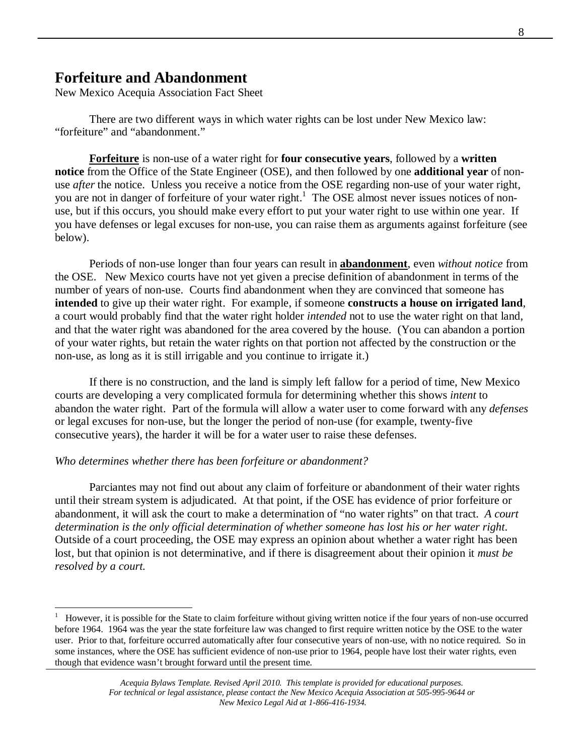# **Forfeiture and Abandonment**

New Mexico Acequia Association Fact Sheet

There are two different ways in which water rights can be lost under New Mexico law: "forfeiture" and "abandonment."

**Forfeiture** is non-use of a water right for **four consecutive years**, followed by a **written notice** from the Office of the State Engineer (OSE), and then followed by one **additional year** of nonuse *after* the notice. Unless you receive a notice from the OSE regarding non-use of your water right, you are not in danger of forfeiture of your water right.<sup>1</sup> The OSE almost never issues notices of nonuse, but if this occurs, you should make every effort to put your water right to use within one year. If you have defenses or legal excuses for non-use, you can raise them as arguments against forfeiture (see below).

Periods of non-use longer than four years can result in **abandonment**, even *without notice* from the OSE. New Mexico courts have not yet given a precise definition of abandonment in terms of the number of years of non-use. Courts find abandonment when they are convinced that someone has **intended** to give up their water right. For example, if someone **constructs a house on irrigated land**, a court would probably find that the water right holder *intended* not to use the water right on that land, and that the water right was abandoned for the area covered by the house. (You can abandon a portion of your water rights, but retain the water rights on that portion not affected by the construction or the non-use, as long as it is still irrigable and you continue to irrigate it.)

 If there is no construction, and the land is simply left fallow for a period of time, New Mexico courts are developing a very complicated formula for determining whether this shows *intent* to abandon the water right. Part of the formula will allow a water user to come forward with any *defenses*  or legal excuses for non-use, but the longer the period of non-use (for example, twenty-five consecutive years), the harder it will be for a water user to raise these defenses.

#### *Who determines whether there has been forfeiture or abandonment?*

<u>.</u>

Parciantes may not find out about any claim of forfeiture or abandonment of their water rights until their stream system is adjudicated. At that point, if the OSE has evidence of prior forfeiture or abandonment, it will ask the court to make a determination of "no water rights" on that tract. *A court determination is the only official determination of whether someone has lost his or her water right*. Outside of a court proceeding, the OSE may express an opinion about whether a water right has been lost, but that opinion is not determinative, and if there is disagreement about their opinion it *must be resolved by a court.* 

<sup>1</sup> However, it is possible for the State to claim forfeiture without giving written notice if the four years of non-use occurred before 1964. 1964 was the year the state forfeiture law was changed to first require written notice by the OSE to the water user. Prior to that, forfeiture occurred automatically after four consecutive years of non-use, with no notice required. So in some instances, where the OSE has sufficient evidence of non-use prior to 1964, people have lost their water rights, even though that evidence wasn't brought forward until the present time.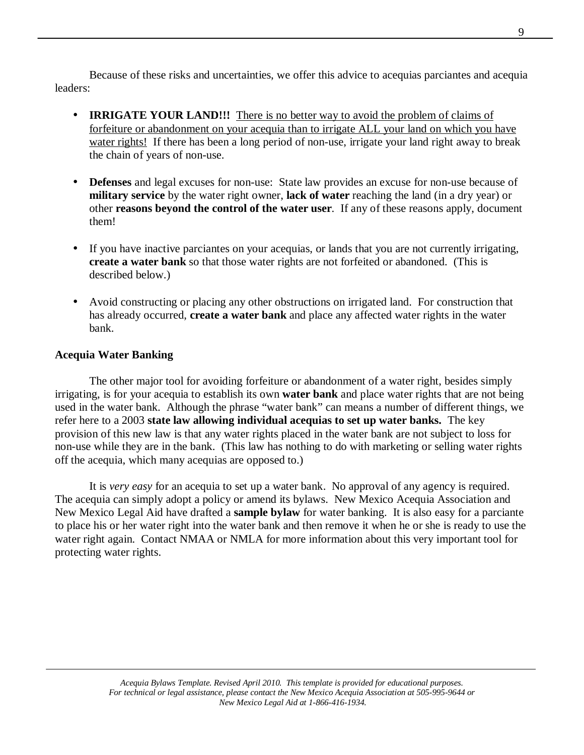Because of these risks and uncertainties, we offer this advice to acequias parciantes and acequia leaders:

- **IRRIGATE YOUR LAND!!!** There is no better way to avoid the problem of claims of forfeiture or abandonment on your acequia than to irrigate ALL your land on which you have water rights! If there has been a long period of non-use, irrigate your land right away to break the chain of years of non-use.
- **Defenses** and legal excuses for non-use: State law provides an excuse for non-use because of **military service** by the water right owner, **lack of water** reaching the land (in a dry year) or other **reasons beyond the control of the water user**. If any of these reasons apply, document them!
- If you have inactive parciantes on your acequias, or lands that you are not currently irrigating, **create a water bank** so that those water rights are not forfeited or abandoned. (This is described below.)
- Avoid constructing or placing any other obstructions on irrigated land. For construction that has already occurred, **create a water bank** and place any affected water rights in the water bank.

# **Acequia Water Banking**

The other major tool for avoiding forfeiture or abandonment of a water right, besides simply irrigating, is for your acequia to establish its own **water bank** and place water rights that are not being used in the water bank. Although the phrase "water bank" can means a number of different things, we refer here to a 2003 **state law allowing individual acequias to set up water banks.** The key provision of this new law is that any water rights placed in the water bank are not subject to loss for non-use while they are in the bank. (This law has nothing to do with marketing or selling water rights off the acequia, which many acequias are opposed to.)

It is *very easy* for an acequia to set up a water bank. No approval of any agency is required. The acequia can simply adopt a policy or amend its bylaws. New Mexico Acequia Association and New Mexico Legal Aid have drafted a **sample bylaw** for water banking. It is also easy for a parciante to place his or her water right into the water bank and then remove it when he or she is ready to use the water right again. Contact NMAA or NMLA for more information about this very important tool for protecting water rights.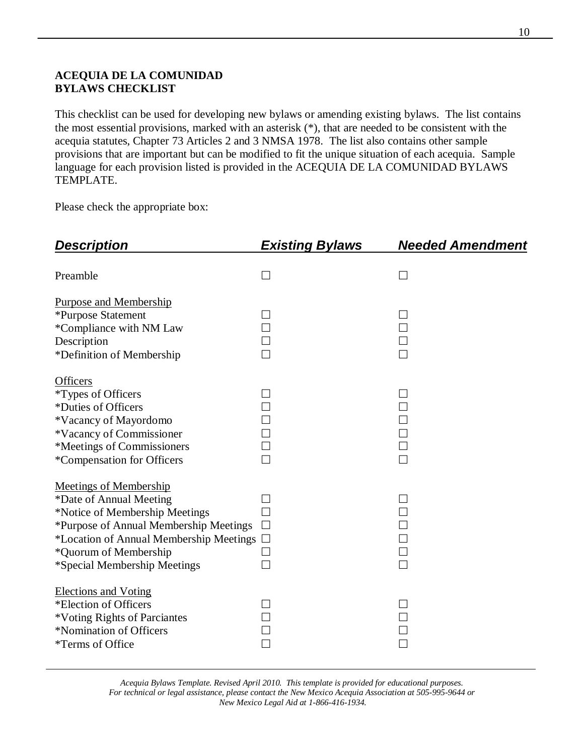# **ACEQUIA DE LA COMUNIDAD BYLAWS CHECKLIST**

This checklist can be used for developing new bylaws or amending existing bylaws. The list contains the most essential provisions, marked with an asterisk (\*), that are needed to be consistent with the acequia statutes, Chapter 73 Articles 2 and 3 NMSA 1978. The list also contains other sample provisions that are important but can be modified to fit the unique situation of each acequia. Sample language for each provision listed is provided in the ACEQUIA DE LA COMUNIDAD BYLAWS TEMPLATE.

Please check the appropriate box:

| <b>Description</b>                                                                                                                                                                                                                       | <u>Existing Bylaws</u> | <b>Needed Amendment</b> |
|------------------------------------------------------------------------------------------------------------------------------------------------------------------------------------------------------------------------------------------|------------------------|-------------------------|
| Preamble                                                                                                                                                                                                                                 | J                      |                         |
| <b>Purpose and Membership</b><br>*Purpose Statement<br>*Compliance with NM Law<br>Description<br>*Definition of Membership                                                                                                               |                        |                         |
| <b>Officers</b><br><i>*Types of Officers</i><br>*Duties of Officers<br>*Vacancy of Mayordomo<br>*Vacancy of Commissioner<br>*Meetings of Commissioners<br>*Compensation for Officers                                                     |                        | $\Box$                  |
| <b>Meetings of Membership</b><br>*Date of Annual Meeting<br>*Notice of Membership Meetings<br>*Purpose of Annual Membership Meetings<br>*Location of Annual Membership Meetings<br>*Quorum of Membership<br>*Special Membership Meetings |                        | $\Box$<br>П             |
| <b>Elections and Voting</b><br>*Election of Officers<br>*Voting Rights of Parciantes<br>*Nomination of Officers<br>*Terms of Office                                                                                                      |                        |                         |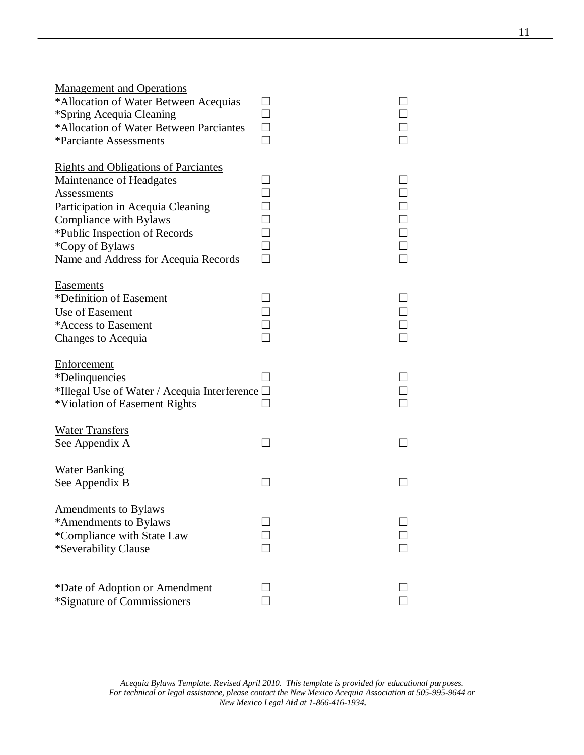| <b>Management and Operations</b><br>*Allocation of Water Between Acequias<br>*Spring Acequia Cleaning<br>*Allocation of Water Between Parciantes<br><i><b>*Parciante Assessments</b></i>                                                                 | $\overline{\phantom{0}}$<br>$\Box$<br>$\Box$ |      |
|----------------------------------------------------------------------------------------------------------------------------------------------------------------------------------------------------------------------------------------------------------|----------------------------------------------|------|
| <b>Rights and Obligations of Parciantes</b><br>Maintenance of Headgates<br><b>Assessments</b><br>Participation in Acequia Cleaning<br>Compliance with Bylaws<br>*Public Inspection of Records<br>*Copy of Bylaws<br>Name and Address for Acequia Records | $\overline{\phantom{a}}$<br>$\Box$<br>$\Box$ | 0000 |
| <b>Easements</b><br>*Definition of Easement<br>Use of Easement<br>*Access to Easement<br>Changes to Acequia                                                                                                                                              |                                              |      |
| <b>Enforcement</b><br>*Delinquencies<br>*Illegal Use of Water / Acequia Interference $\Box$<br>*Violation of Easement Rights                                                                                                                             |                                              |      |
| <b>Water Transfers</b><br>See Appendix A                                                                                                                                                                                                                 |                                              |      |
| <b>Water Banking</b><br>See Appendix B                                                                                                                                                                                                                   |                                              |      |
| <b>Amendments to Bylaws</b><br>*Amendments to Bylaws<br>*Compliance with State Law<br>*Severability Clause                                                                                                                                               |                                              |      |
| *Date of Adoption or Amendment<br>*Signature of Commissioners                                                                                                                                                                                            | $\blacksquare$                               |      |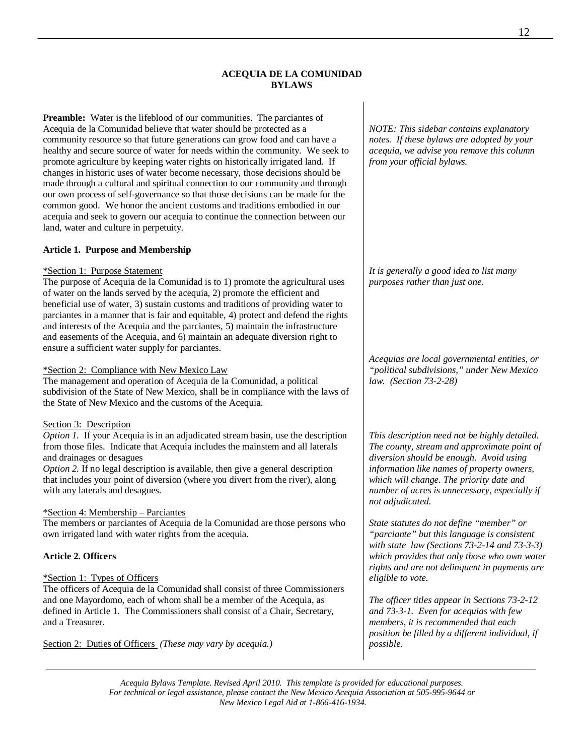#### **ACEQUIA DE LA COMUNIDAD BYLAWS**

**Preamble:** Water is the lifeblood of our communities. The parciantes of Acequia de la Comunidad believe that water should be protected as a community resource so that future generations can grow food and can have a healthy and secure source of water for needs within the community. We seek to promote agriculture by keeping water rights on historically irrigated land. If changes in historic uses of water become necessary, those decisions should be made through a cultural and spiritual connection to our community and through our own process of self-governance so that those decisions can be made for the common good. We honor the ancient customs and traditions embodied in our acequia and seek to govern our acequia to continue the connection between our land, water and culture in perpetuity.

#### **Article 1. Purpose and Membership**

#### \*Section 1: Purpose Statement

The purpose of Acequia de la Comunidad is to 1) promote the agricultural uses of water on the lands served by the acequia, 2) promote the efficient and beneficial use of water, 3) sustain customs and traditions of providing water to parciantes in a manner that is fair and equitable, 4) protect and defend the rights and interests of the Acequia and the parciantes, 5) maintain the infrastructure and easements of the Acequia, and 6) maintain an adequate diversion right to ensure a sufficient water supply for parciantes.

#### \*Section 2: Compliance with New Mexico Law

The management and operation of Acequia de la Comunidad, a political subdivision of the State of New Mexico, shall be in compliance with the laws of the State of New Mexico and the customs of the Acequia.

#### Section 3: Description

*Option 1.* If your Acequia is in an adjudicated stream basin, use the description from those files. Indicate that Acequia includes the mainstem and all laterals and drainages or desagues

*Option 2.* If no legal description is available, then give a general description that includes your point of diversion (where you divert from the river), along with any laterals and desagues.

#### \*Section 4: Membership – Parciantes

The members or parciantes of Acequia de la Comunidad are those persons who own irrigated land with water rights from the acequia.

#### **Article 2. Officers**

#### \*Section 1: Types of Officers

The officers of Acequia de la Comunidad shall consist of three Commissioners and one Mayordomo, each of whom shall be a member of the Acequia, as defined in Article 1. The Commissioners shall consist of a Chair, Secretary, and a Treasurer.

Section 2: Duties of Officers *(These may vary by acequia.)* 

*NOTE: This sidebar contains explanatory notes. If these bylaws are adopted by your acequia, we advise you remove this column from your official bylaws.* 

*It is generally a good idea to list many purposes rather than just one.* 

*Acequias are local governmental entities, or "political subdivisions," under New Mexico law. (Section 73-2-28)* 

*This description need not be highly detailed. The county, stream and approximate point of diversion should be enough. Avoid using information like names of property owners, which will change. The priority date and number of acres is unnecessary, especially if not adjudicated.* 

*State statutes do not define "member" or "parciante" but this language is consistent with state law (Sections 73-2-14 and 73-3-3) which provides that only those who own water rights and are not delinquent in payments are eligible to vote.* 

*The officer titles appear in Sections 73-2-12 and 73-3-1. Even for acequias with few members, it is recommended that each position be filled by a different individual, if possible.*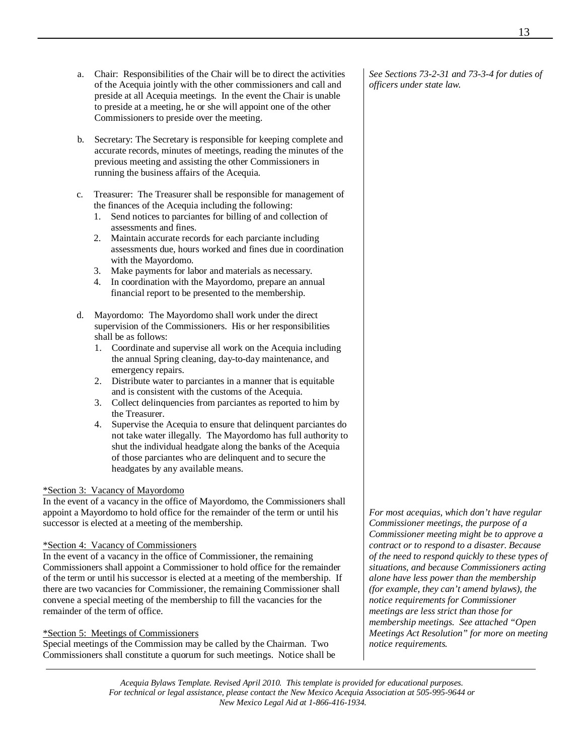13

- a. Chair: Responsibilities of the Chair will be to direct the activities of the Acequia jointly with the other commissioners and call and preside at all Acequia meetings. In the event the Chair is unable to preside at a meeting, he or she will appoint one of the other Commissioners to preside over the meeting.
- b. Secretary: The Secretary is responsible for keeping complete and accurate records, minutes of meetings, reading the minutes of the previous meeting and assisting the other Commissioners in running the business affairs of the Acequia.
- c. Treasurer: The Treasurer shall be responsible for management of the finances of the Acequia including the following:
	- 1. Send notices to parciantes for billing of and collection of assessments and fines.
	- 2. Maintain accurate records for each parciante including assessments due, hours worked and fines due in coordination with the Mayordomo.
	- 3. Make payments for labor and materials as necessary.
	- 4. In coordination with the Mayordomo, prepare an annual financial report to be presented to the membership.
- d. Mayordomo: The Mayordomo shall work under the direct supervision of the Commissioners. His or her responsibilities shall be as follows:
	- 1. Coordinate and supervise all work on the Acequia including the annual Spring cleaning, day-to-day maintenance, and emergency repairs.
	- 2. Distribute water to parciantes in a manner that is equitable and is consistent with the customs of the Acequia.
	- 3. Collect delinquencies from parciantes as reported to him by the Treasurer.
	- 4. Supervise the Acequia to ensure that delinquent parciantes do not take water illegally. The Mayordomo has full authority to shut the individual headgate along the banks of the Acequia of those parciantes who are delinquent and to secure the headgates by any available means.

#### \*Section 3: Vacancy of Mayordomo

In the event of a vacancy in the office of Mayordomo, the Commissioners shall appoint a Mayordomo to hold office for the remainder of the term or until his successor is elected at a meeting of the membership.

#### \*Section 4: Vacancy of Commissioners

In the event of a vacancy in the office of Commissioner, the remaining Commissioners shall appoint a Commissioner to hold office for the remainder of the term or until his successor is elected at a meeting of the membership. If there are two vacancies for Commissioner, the remaining Commissioner shall convene a special meeting of the membership to fill the vacancies for the remainder of the term of office.

#### \*Section 5: Meetings of Commissioners

Special meetings of the Commission may be called by the Chairman. Two Commissioners shall constitute a quorum for such meetings. Notice shall be

*For most acequias, which don't have regular Commissioner meetings, the purpose of a Commissioner meeting might be to approve a contract or to respond to a disaster. Because of the need to respond quickly to these types of situations, and because Commissioners acting alone have less power than the membership (for example, they can't amend bylaws), the notice requirements for Commissioner meetings are less strict than those for membership meetings. See attached "Open Meetings Act Resolution" for more on meeting notice requirements.* 

*Acequia Bylaws Template. Revised April 2010. This template is provided for educational purposes. For technical or legal assistance, please contact the New Mexico Acequia Association at 505-995-9644 or New Mexico Legal Aid at 1-866-416-1934.* 

*See Sections 73-2-31 and 73-3-4 for duties of officers under state law.*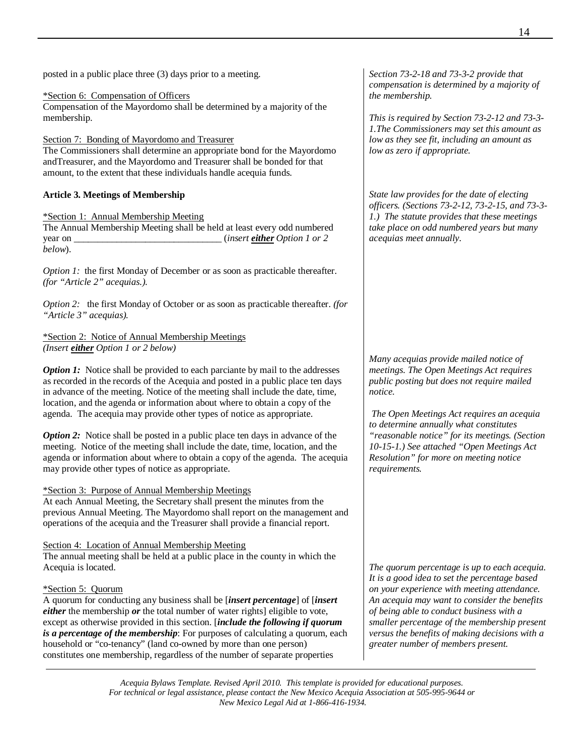posted in a public place three (3) days prior to a meeting.

\*Section 6: Compensation of Officers Compensation of the Mayordomo shall be determined by a majority of the membership.

Section 7: Bonding of Mayordomo and Treasurer

The Commissioners shall determine an appropriate bond for the Mayordomo andTreasurer, and the Mayordomo and Treasurer shall be bonded for that amount, to the extent that these individuals handle acequia funds.

#### **Article 3. Meetings of Membership**

\*Section 1: Annual Membership Meeting

The Annual Membership Meeting shall be held at least every odd numbered year on  $\qquad \qquad$  (*insert either Option 1 or 2 below*).

*Option 1:* the first Monday of December or as soon as practicable thereafter. *(for "Article 2" acequias.).* 

*Option 2:* the first Monday of October or as soon as practicable thereafter. *(for "Article 3" acequias).* 

\*Section 2: Notice of Annual Membership Meetings *(Insert either Option 1 or 2 below)* 

*Option 1:* Notice shall be provided to each parciante by mail to the addresses as recorded in the records of the Acequia and posted in a public place ten days in advance of the meeting. Notice of the meeting shall include the date, time, location, and the agenda or information about where to obtain a copy of the agenda. The acequia may provide other types of notice as appropriate.

*Option 2:* Notice shall be posted in a public place ten days in advance of the meeting. Notice of the meeting shall include the date, time, location, and the agenda or information about where to obtain a copy of the agenda. The acequia may provide other types of notice as appropriate.

\*Section 3: Purpose of Annual Membership Meetings

At each Annual Meeting, the Secretary shall present the minutes from the previous Annual Meeting. The Mayordomo shall report on the management and operations of the acequia and the Treasurer shall provide a financial report.

Section 4: Location of Annual Membership Meeting The annual meeting shall be held at a public place in the county in which the Acequia is located.

#### \*Section 5: Quorum

A quorum for conducting any business shall be [*insert percentage*] of [*insert either* the membership *or* the total number of water rights] eligible to vote, except as otherwise provided in this section. [*include the following if quorum is a percentage of the membership*: For purposes of calculating a quorum, each household or "co-tenancy" (land co-owned by more than one person) constitutes one membership, regardless of the number of separate properties

*Section 73-2-18 and 73-3-2 provide that compensation is determined by a majority of the membership.* 

*This is required by Section 73-2-12 and 73-3- 1.The Commissioners may set this amount as low as they see fit, including an amount as low as zero if appropriate.* 

*State law provides for the date of electing officers. (Sections 73-2-12, 73-2-15, and 73-3- 1.) The statute provides that these meetings take place on odd numbered years but many acequias meet annually.* 

*Many acequias provide mailed notice of meetings. The Open Meetings Act requires public posting but does not require mailed notice.* 

 *The Open Meetings Act requires an acequia to determine annually what constitutes "reasonable notice" for its meetings. (Section 10-15-1.) See attached "Open Meetings Act Resolution" for more on meeting notice requirements.* 

*The quorum percentage is up to each acequia. It is a good idea to set the percentage based on your experience with meeting attendance. An acequia may want to consider the benefits of being able to conduct business with a smaller percentage of the membership present versus the benefits of making decisions with a greater number of members present.*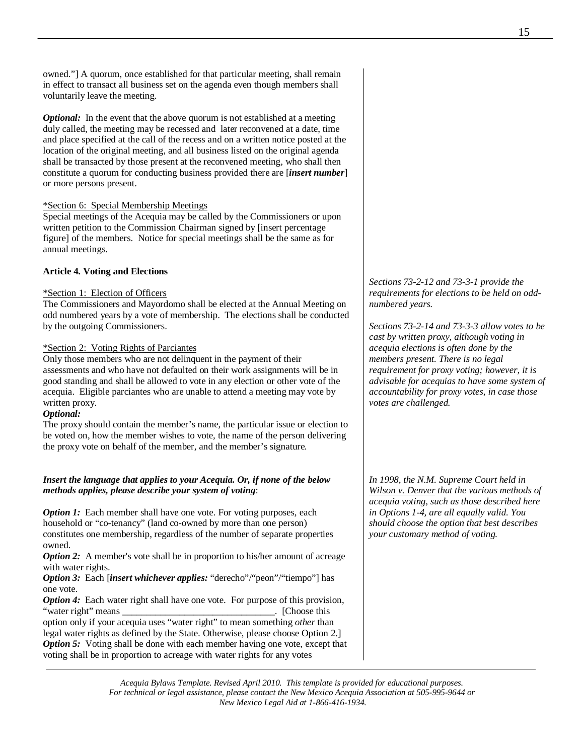owned."] A quorum, once established for that particular meeting, shall remain in effect to transact all business set on the agenda even though members shall voluntarily leave the meeting.

*Optional:* In the event that the above quorum is not established at a meeting duly called, the meeting may be recessed and later reconvened at a date, time and place specified at the call of the recess and on a written notice posted at the location of the original meeting, and all business listed on the original agenda shall be transacted by those present at the reconvened meeting, who shall then constitute a quorum for conducting business provided there are [*insert number*] or more persons present.

#### \*Section 6: Special Membership Meetings

Special meetings of the Acequia may be called by the Commissioners or upon written petition to the Commission Chairman signed by [insert percentage figure] of the members. Notice for special meetings shall be the same as for annual meetings.

#### **Article 4. Voting and Elections**

#### \*Section 1: Election of Officers

The Commissioners and Mayordomo shall be elected at the Annual Meeting on odd numbered years by a vote of membership. The elections shall be conducted by the outgoing Commissioners.

#### \*Section 2: Voting Rights of Parciantes

Only those members who are not delinquent in the payment of their assessments and who have not defaulted on their work assignments will be in good standing and shall be allowed to vote in any election or other vote of the acequia. Eligible parciantes who are unable to attend a meeting may vote by written proxy.

#### *Optional:*

The proxy should contain the member's name, the particular issue or election to be voted on, how the member wishes to vote, the name of the person delivering the proxy vote on behalf of the member, and the member's signature.

#### *Insert the language that applies to your Acequia. Or, if none of the below methods applies, please describe your system of voting*:

*Option 1:* Each member shall have one vote. For voting purposes, each household or "co-tenancy" (land co-owned by more than one person) constitutes one membership, regardless of the number of separate properties owned.

*Option 2:* A member's vote shall be in proportion to his/her amount of acreage with water rights.

*Option 3:* Each [*insert whichever applies:* "derecho"/"peon"/"tiempo"] has one vote.

**Option 4:** Each water right shall have one vote. For purpose of this provision, "water right" means  $\blacksquare$ 

option only if your acequia uses "water right" to mean something *other* than legal water rights as defined by the State. Otherwise, please choose Option 2.] *Option 5:* Voting shall be done with each member having one vote, except that voting shall be in proportion to acreage with water rights for any votes

*Sections 73-2-12 and 73-3-1 provide the requirements for elections to be held on oddnumbered years.* 

*Sections 73-2-14 and 73-3-3 allow votes to be cast by written proxy, although voting in acequia elections is often done by the members present. There is no legal requirement for proxy voting; however, it is advisable for acequias to have some system of accountability for proxy votes, in case those votes are challenged.* 

*In 1998, the N.M. Supreme Court held in Wilson v. Denver that the various methods of acequia voting, such as those described here in Options 1-4, are all equally valid. You should choose the option that best describes your customary method of voting.*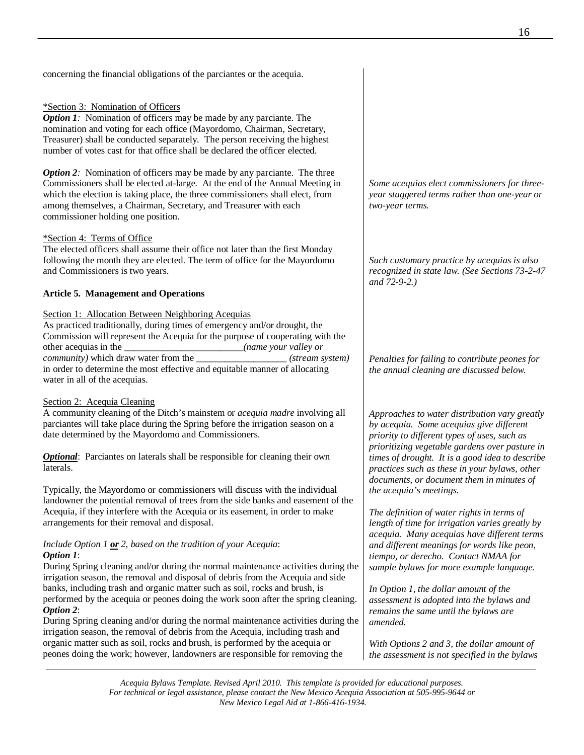concerning the financial obligations of the parciantes or the acequia.

#### \*Section 3: Nomination of Officers

*Option 1*: Nomination of officers may be made by any parciante. The nomination and voting for each office (Mayordomo, Chairman, Secretary, Treasurer) shall be conducted separately. The person receiving the highest number of votes cast for that office shall be declared the officer elected.

*Option 2*: Nomination of officers may be made by any parciante. The three Commissioners shall be elected at-large. At the end of the Annual Meeting in which the election is taking place, the three commissioners shall elect, from among themselves, a Chairman, Secretary, and Treasurer with each commissioner holding one position.

#### \*Section 4: Terms of Office

The elected officers shall assume their office not later than the first Monday following the month they are elected. The term of office for the Mayordomo and Commissioners is two years.

#### **Article 5. Management and Operations**

#### Section 1: Allocation Between Neighboring Acequias

As practiced traditionally, during times of emergency and/or drought, the Commission will represent the Acequia for the purpose of cooperating with the other acequias in the  $\qquad \qquad (name \; your \; valley \; or \;$ *community*) which draw water from the *(stream system)* in order to determine the most effective and equitable manner of allocating water in all of the acequias.

#### Section 2: Acequia Cleaning

A community cleaning of the Ditch's mainstem or *acequia madre* involving all parciantes will take place during the Spring before the irrigation season on a date determined by the Mayordomo and Commissioners.

*Optional*: Parciantes on laterals shall be responsible for cleaning their own laterals.

Typically, the Mayordomo or commissioners will discuss with the individual landowner the potential removal of trees from the side banks and easement of the Acequia, if they interfere with the Acequia or its easement, in order to make arrangements for their removal and disposal.

#### *Include Option 1 or 2, based on the tradition of your Acequia*: *Option 1*:

During Spring cleaning and/or during the normal maintenance activities during the irrigation season, the removal and disposal of debris from the Acequia and side banks, including trash and organic matter such as soil, rocks and brush, is performed by the acequia or peones doing the work soon after the spring cleaning. *Option 2*:

During Spring cleaning and/or during the normal maintenance activities during the irrigation season, the removal of debris from the Acequia, including trash and organic matter such as soil, rocks and brush, is performed by the acequia or peones doing the work; however, landowners are responsible for removing the

*Some acequias elect commissioners for threeyear staggered terms rather than one-year or two-year terms.* 

*Such customary practice by acequias is also recognized in state law. (See Sections 73-2-47 and 72-9-2.)* 

*Penalties for failing to contribute peones for the annual cleaning are discussed below.* 

*Approaches to water distribution vary greatly by acequia. Some acequias give different priority to different types of uses, such as prioritizing vegetable gardens over pasture in times of drought. It is a good idea to describe practices such as these in your bylaws, other documents, or document them in minutes of the acequia's meetings.* 

*The definition of water rights in terms of length of time for irrigation varies greatly by acequia. Many acequias have different terms and different meanings for words like peon, tiempo, or derecho. Contact NMAA for sample bylaws for more example language.*

*In Option 1, the dollar amount of the assessment is adopted into the bylaws and remains the same until the bylaws are amended.* 

*With Options 2 and 3, the dollar amount of the assessment is not specified in the bylaws*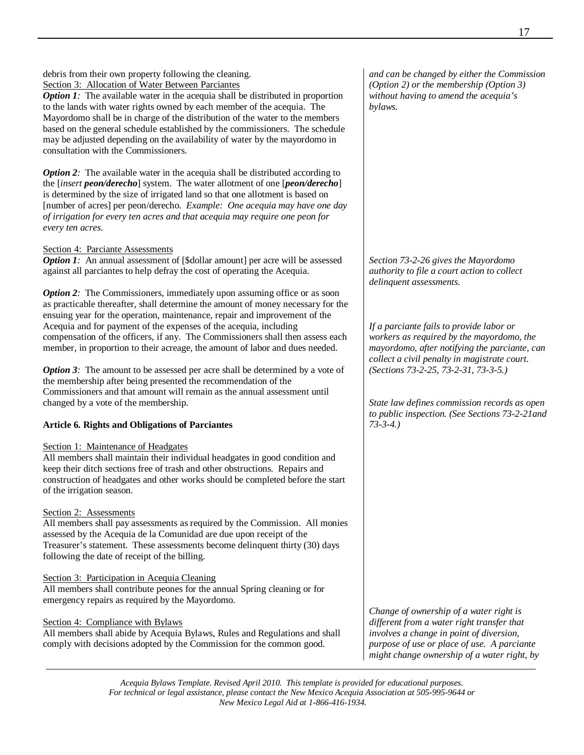debris from their own property following the cleaning. Section 3: Allocation of Water Between Parciantes

*Option 1:* The available water in the acequia shall be distributed in proportion to the lands with water rights owned by each member of the acequia. The Mayordomo shall be in charge of the distribution of the water to the members based on the general schedule established by the commissioners. The schedule may be adjusted depending on the availability of water by the mayordomo in consultation with the Commissioners.

*Option 2*: The available water in the acequia shall be distributed according to the [*insert peon/derecho*] system. The water allotment of one [*peon/derecho*] is determined by the size of irrigated land so that one allotment is based on [number of acres] per peon/derecho. *Example: One acequia may have one day of irrigation for every ten acres and that acequia may require one peon for every ten acres.* 

#### Section 4: Parciante Assessments

*Option 1:* An annual assessment of [\$dollar amount] per acre will be assessed against all parciantes to help defray the cost of operating the Acequia.

*Option 2*: The Commissioners, immediately upon assuming office or as soon as practicable thereafter, shall determine the amount of money necessary for the ensuing year for the operation, maintenance, repair and improvement of the Acequia and for payment of the expenses of the acequia, including compensation of the officers, if any. The Commissioners shall then assess each member, in proportion to their acreage, the amount of labor and dues needed.

*Option 3*: The amount to be assessed per acre shall be determined by a vote of the membership after being presented the recommendation of the Commissioners and that amount will remain as the annual assessment until changed by a vote of the membership.

#### **Article 6. Rights and Obligations of Parciantes**

#### Section 1: Maintenance of Headgates

All members shall maintain their individual headgates in good condition and keep their ditch sections free of trash and other obstructions. Repairs and construction of headgates and other works should be completed before the start of the irrigation season.

#### Section 2: Assessments

All members shall pay assessments as required by the Commission. All monies assessed by the Acequia de la Comunidad are due upon receipt of the Treasurer's statement. These assessments become delinquent thirty (30) days following the date of receipt of the billing.

Section 3: Participation in Acequia Cleaning

All members shall contribute peones for the annual Spring cleaning or for emergency repairs as required by the Mayordomo.

### Section 4: Compliance with Bylaws

All members shall abide by Acequia Bylaws, Rules and Regulations and shall comply with decisions adopted by the Commission for the common good.

*and can be changed by either the Commission (Option 2) or the membership (Option 3) without having to amend the acequia's bylaws.* 

*Section 73-2-26 gives the Mayordomo authority to file a court action to collect delinquent assessments.* 

*If a parciante fails to provide labor or workers as required by the mayordomo, the mayordomo, after notifying the parciante, can collect a civil penalty in magistrate court. (Sections 73-2-25, 73-2-31, 73-3-5.)* 

*State law defines commission records as open to public inspection. (See Sections 73-2-21and 73-3-4.)* 

*Change of ownership of a water right is different from a water right transfer that involves a change in point of diversion, purpose of use or place of use. A parciante might change ownership of a water right, by*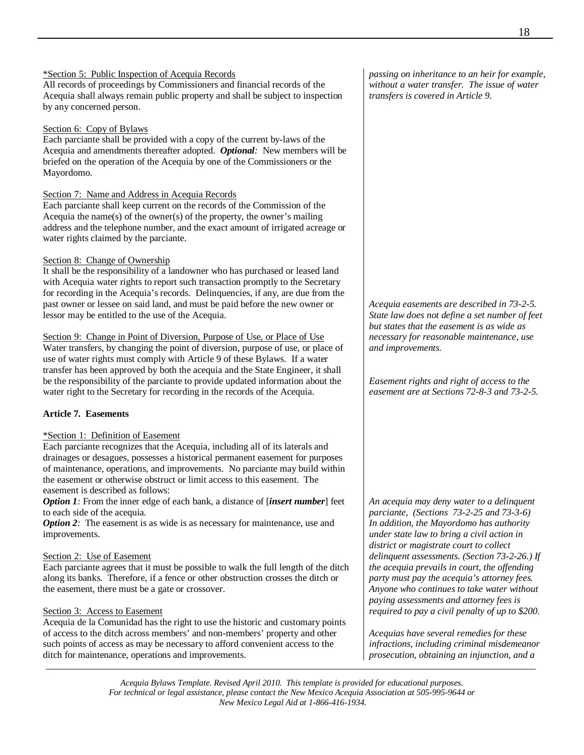#### \*Section 5: Public Inspection of Acequia Records

All records of proceedings by Commissioners and financial records of the Acequia shall always remain public property and shall be subject to inspection by any concerned person.

#### Section 6: Copy of Bylaws

Each parciante shall be provided with a copy of the current by-laws of the Acequia and amendments thereafter adopted. *Optional:* New members will be briefed on the operation of the Acequia by one of the Commissioners or the Mayordomo.

#### Section 7: Name and Address in Acequia Records

Each parciante shall keep current on the records of the Commission of the Acequia the name(s) of the owner(s) of the property, the owner's mailing address and the telephone number, and the exact amount of irrigated acreage or water rights claimed by the parciante.

#### Section 8: Change of Ownership

It shall be the responsibility of a landowner who has purchased or leased land with Acequia water rights to report such transaction promptly to the Secretary for recording in the Acequia's records. Delinquencies, if any, are due from the past owner or lessee on said land, and must be paid before the new owner or lessor may be entitled to the use of the Acequia.

Section 9: Change in Point of Diversion, Purpose of Use, or Place of Use Water transfers, by changing the point of diversion, purpose of use, or place of use of water rights must comply with Article 9 of these Bylaws. If a water transfer has been approved by both the acequia and the State Engineer, it shall be the responsibility of the parciante to provide updated information about the water right to the Secretary for recording in the records of the Acequia.

#### **Article 7. Easements**

#### \*Section 1: Definition of Easement

Each parciante recognizes that the Acequia, including all of its laterals and drainages or desagues, possesses a historical permanent easement for purposes of maintenance, operations, and improvements. No parciante may build within the easement or otherwise obstruct or limit access to this easement. The easement is described as follows:

*Option 1:* From the inner edge of each bank, a distance of [*insert number*] feet to each side of the acequia.

*Option 2*: The easement is as wide is as necessary for maintenance, use and improvements.

#### Section 2: Use of Easement

Each parciante agrees that it must be possible to walk the full length of the ditch along its banks. Therefore, if a fence or other obstruction crosses the ditch or the easement, there must be a gate or crossover.

#### Section 3: Access to Easement

Acequia de la Comunidad has the right to use the historic and customary points of access to the ditch across members' and non-members' property and other such points of access as may be necessary to afford convenient access to the ditch for maintenance, operations and improvements.

*passing on inheritance to an heir for example, without a water transfer. The issue of water transfers is covered in Article 9.* 

*Acequia easements are described in 73-2-5. State law does not define a set number of feet but states that the easement is as wide as necessary for reasonable maintenance, use and improvements.* 

*Easement rights and right of access to the easement are at Sections 72-8-3 and 73-2-5.* 

*An acequia may deny water to a delinquent parciante, (Sections 73-2-25 and 73-3-6) In addition, the Mayordomo has authority under state law to bring a civil action in district or magistrate court to collect delinquent assessments. (Section 73-2-26.) If the acequia prevails in court, the offending party must pay the acequia's attorney fees. Anyone who continues to take water without paying assessments and attorney fees is required to pay a civil penalty of up to \$200.* 

*Acequias have several remedies for these infractions, including criminal misdemeanor prosecution, obtaining an injunction, and a*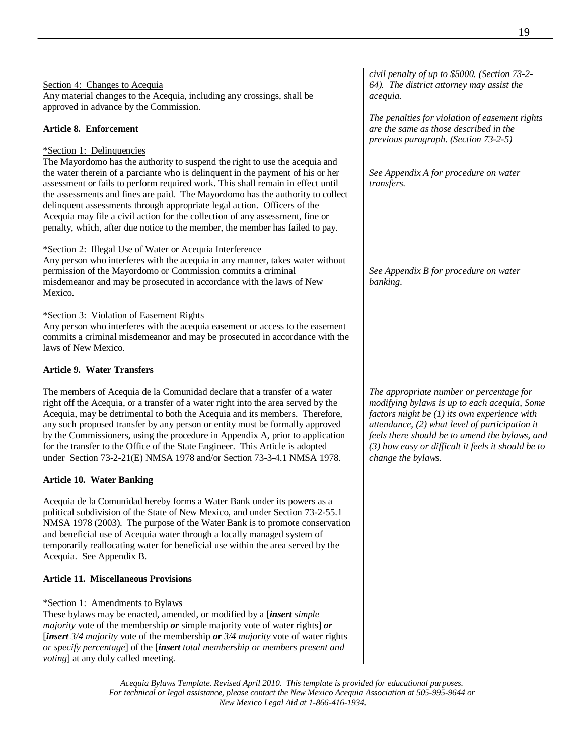Section 4: Changes to Acequia

Any material changes to the Acequia, including any crossings, shall be approved in advance by the Commission.

#### **Article 8. Enforcement**

#### \*Section 1: Delinquencies

The Mayordomo has the authority to suspend the right to use the acequia and the water therein of a parciante who is delinquent in the payment of his or her assessment or fails to perform required work. This shall remain in effect until the assessments and fines are paid. The Mayordomo has the authority to collect delinquent assessments through appropriate legal action. Officers of the Acequia may file a civil action for the collection of any assessment, fine or penalty, which, after due notice to the member, the member has failed to pay.

#### \*Section 2: Illegal Use of Water or Acequia Interference

Any person who interferes with the acequia in any manner, takes water without permission of the Mayordomo or Commission commits a criminal misdemeanor and may be prosecuted in accordance with the laws of New Mexico.

#### \*Section 3: Violation of Easement Rights

Any person who interferes with the acequia easement or access to the easement commits a criminal misdemeanor and may be prosecuted in accordance with the laws of New Mexico.

#### **Article 9. Water Transfers**

The members of Acequia de la Comunidad declare that a transfer of a water right off the Acequia, or a transfer of a water right into the area served by the Acequia, may be detrimental to both the Acequia and its members. Therefore, any such proposed transfer by any person or entity must be formally approved by the Commissioners, using the procedure in Appendix A, prior to application for the transfer to the Office of the State Engineer. This Article is adopted under Section 73-2-21(E) NMSA 1978 and/or Section 73-3-4.1 NMSA 1978.

#### **Article 10. Water Banking**

Acequia de la Comunidad hereby forms a Water Bank under its powers as a political subdivision of the State of New Mexico, and under Section 73-2-55.1 NMSA 1978 (2003). The purpose of the Water Bank is to promote conservation and beneficial use of Acequia water through a locally managed system of temporarily reallocating water for beneficial use within the area served by the Acequia. See Appendix B.

#### **Article 11. Miscellaneous Provisions**

#### \*Section 1: Amendments to Bylaws

These bylaws may be enacted, amended, or modified by a [*insert simple majority* vote of the membership *or* simple majority vote of water rights] *or*  [*insert 3/4 majority* vote of the membership *or 3/4 majority* vote of water rights *or specify percentage*] of the [*insert total membership or members present and voting*] at any duly called meeting.

*civil penalty of up to \$5000. (Section 73-2- 64). The district attorney may assist the acequia.* 

*The penalties for violation of easement rights are the same as those described in the previous paragraph. (Section 73-2-5)* 

*See Appendix A for procedure on water transfers.* 

*See Appendix B for procedure on water banking.* 

*The appropriate number or percentage for modifying bylaws is up to each acequia, Some factors might be (1) its own experience with attendance, (2) what level of participation it feels there should be to amend the bylaws, and (3) how easy or difficult it feels it should be to change the bylaws.*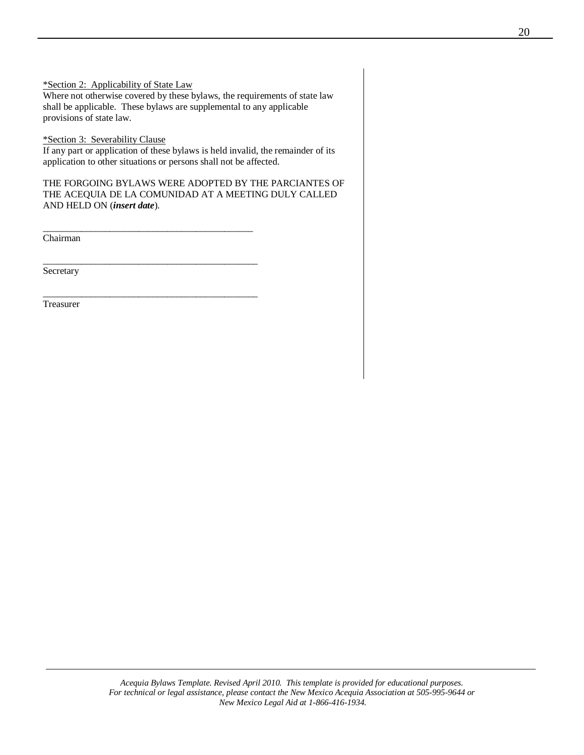\*Section 2: Applicability of State Law Where not otherwise covered by these bylaws, the requirements of state law shall be applicable. These bylaws are supplemental to any applicable provisions of state law.

\*Section 3: Severability Clause

If any part or application of these bylaws is held invalid, the remainder of its application to other situations or persons shall not be affected.

THE FORGOING BYLAWS WERE ADOPTED BY THE PARCIANTES OF THE ACEQUIA DE LA COMUNIDAD AT A MEETING DULY CALLED AND HELD ON (*insert date*).

\_\_\_\_\_\_\_\_\_\_\_\_\_\_\_\_\_\_\_\_\_\_\_\_\_\_\_\_\_\_\_\_\_\_\_\_\_\_\_\_\_\_\_\_

\_\_\_\_\_\_\_\_\_\_\_\_\_\_\_\_\_\_\_\_\_\_\_\_\_\_\_\_\_\_\_\_\_\_\_\_\_\_\_\_\_\_\_\_\_

\_\_\_\_\_\_\_\_\_\_\_\_\_\_\_\_\_\_\_\_\_\_\_\_\_\_\_\_\_\_\_\_\_\_\_\_\_\_\_\_\_\_\_\_\_

Chairman

Secretary

Treasurer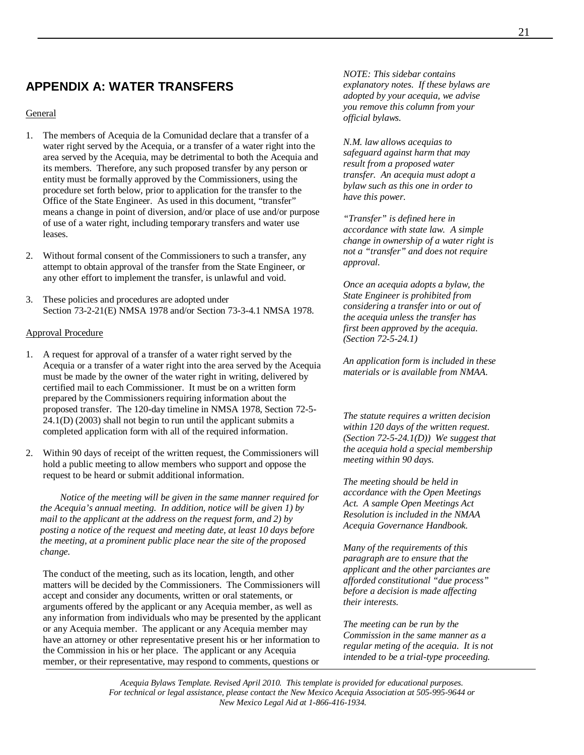# **APPENDIX A: WATER TRANSFERS**

#### General

- 1. The members of Acequia de la Comunidad declare that a transfer of a water right served by the Acequia, or a transfer of a water right into the area served by the Acequia, may be detrimental to both the Acequia and its members. Therefore, any such proposed transfer by any person or entity must be formally approved by the Commissioners, using the procedure set forth below, prior to application for the transfer to the Office of the State Engineer. As used in this document, "transfer" means a change in point of diversion, and/or place of use and/or purpose of use of a water right, including temporary transfers and water use leases.
- 2. Without formal consent of the Commissioners to such a transfer, any attempt to obtain approval of the transfer from the State Engineer, or any other effort to implement the transfer, is unlawful and void.
- 3. These policies and procedures are adopted under Section 73-2-21(E) NMSA 1978 and/or Section 73-3-4.1 NMSA 1978.

#### Approval Procedure

- 1. A request for approval of a transfer of a water right served by the Acequia or a transfer of a water right into the area served by the Acequia must be made by the owner of the water right in writing, delivered by certified mail to each Commissioner. It must be on a written form prepared by the Commissioners requiring information about the proposed transfer. The 120-day timeline in NMSA 1978, Section 72-5- 24.1(D) (2003) shall not begin to run until the applicant submits a completed application form with all of the required information.
- 2. Within 90 days of receipt of the written request, the Commissioners will hold a public meeting to allow members who support and oppose the request to be heard or submit additional information.

 *Notice of the meeting will be given in the same manner required for the Acequia's annual meeting. In addition, notice will be given 1) by mail to the applicant at the address on the request form, and 2) by posting a notice of the request and meeting date, at least 10 days before the meeting, at a prominent public place near the site of the proposed change.* 

 The conduct of the meeting, such as its location, length, and other matters will be decided by the Commissioners. The Commissioners will accept and consider any documents, written or oral statements, or arguments offered by the applicant or any Acequia member, as well as any information from individuals who may be presented by the applicant or any Acequia member. The applicant or any Acequia member may have an attorney or other representative present his or her information to the Commission in his or her place. The applicant or any Acequia member, or their representative, may respond to comments, questions or

*NOTE: This sidebar contains explanatory notes. If these bylaws are adopted by your acequia, we advise you remove this column from your official bylaws.* 

*N.M. law allows acequias to safeguard against harm that may result from a proposed water transfer. An acequia must adopt a bylaw such as this one in order to have this power.* 

*"Transfer" is defined here in accordance with state law. A simple change in ownership of a water right is not a "transfer" and does not require approval.* 

*Once an acequia adopts a bylaw, the State Engineer is prohibited from considering a transfer into or out of the acequia unless the transfer has first been approved by the acequia. (Section 72-5-24.1)* 

*An application form is included in these materials or is available from NMAA.* 

*The statute requires a written decision within 120 days of the written request. (Section 72-5-24.1(D)) We suggest that the acequia hold a special membership meeting within 90 days.* 

*The meeting should be held in accordance with the Open Meetings Act. A sample Open Meetings Act Resolution is included in the NMAA Acequia Governance Handbook.* 

*Many of the requirements of this paragraph are to ensure that the applicant and the other parciantes are afforded constitutional "due process" before a decision is made affecting their interests.* 

*The meeting can be run by the Commission in the same manner as a regular meting of the acequia. It is not intended to be a trial-type proceeding.*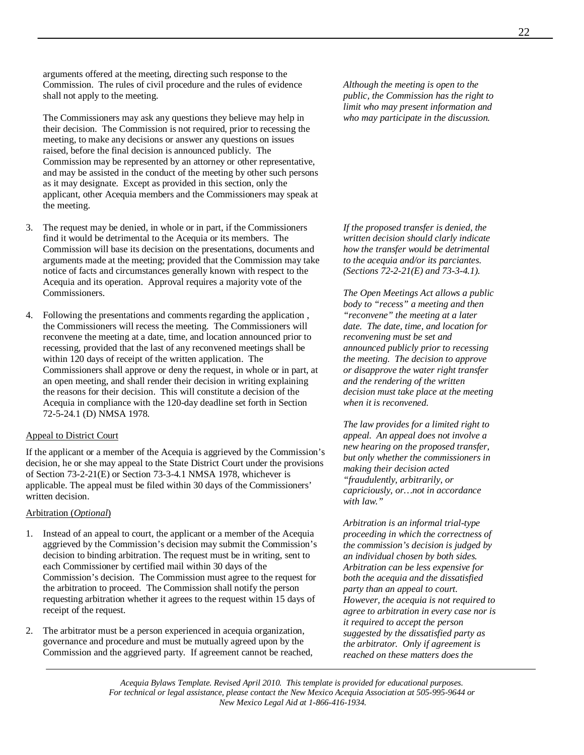arguments offered at the meeting, directing such response to the Commission. The rules of civil procedure and the rules of evidence shall not apply to the meeting.

 The Commissioners may ask any questions they believe may help in their decision. The Commission is not required, prior to recessing the meeting, to make any decisions or answer any questions on issues raised, before the final decision is announced publicly. The Commission may be represented by an attorney or other representative, and may be assisted in the conduct of the meeting by other such persons as it may designate. Except as provided in this section, only the applicant, other Acequia members and the Commissioners may speak at the meeting.

- 3. The request may be denied, in whole or in part, if the Commissioners find it would be detrimental to the Acequia or its members. The Commission will base its decision on the presentations, documents and arguments made at the meeting; provided that the Commission may take notice of facts and circumstances generally known with respect to the Acequia and its operation. Approval requires a majority vote of the Commissioners.
- 4. Following the presentations and comments regarding the application , the Commissioners will recess the meeting. The Commissioners will reconvene the meeting at a date, time, and location announced prior to recessing, provided that the last of any reconvened meetings shall be within 120 days of receipt of the written application. The Commissioners shall approve or deny the request, in whole or in part, at an open meeting, and shall render their decision in writing explaining the reasons for their decision. This will constitute a decision of the Acequia in compliance with the 120-day deadline set forth in Section 72-5-24.1 (D) NMSA 1978.

#### Appeal to District Court

If the applicant or a member of the Acequia is aggrieved by the Commission's decision, he or she may appeal to the State District Court under the provisions of Section 73-2-21(E) or Section 73-3-4.1 NMSA 1978, whichever is applicable. The appeal must be filed within 30 days of the Commissioners' written decision.

#### Arbitration (*Optional*)

- 1. Instead of an appeal to court, the applicant or a member of the Acequia aggrieved by the Commission's decision may submit the Commission's decision to binding arbitration. The request must be in writing, sent to each Commissioner by certified mail within 30 days of the Commission's decision. The Commission must agree to the request for the arbitration to proceed. The Commission shall notify the person requesting arbitration whether it agrees to the request within 15 days of receipt of the request.
- 2. The arbitrator must be a person experienced in acequia organization, governance and procedure and must be mutually agreed upon by the Commission and the aggrieved party. If agreement cannot be reached,

*Although the meeting is open to the public, the Commission has the right to limit who may present information and who may participate in the discussion.* 

*If the proposed transfer is denied, the written decision should clarly indicate how the transfer would be detrimental to the acequia and/or its parciantes. (Sections 72-2-21(E) and 73-3-4.1).* 

*The Open Meetings Act allows a public body to "recess" a meeting and then "reconvene" the meeting at a later date. The date, time, and location for reconvening must be set and announced publicly prior to recessing the meeting. The decision to approve or disapprove the water right transfer and the rendering of the written decision must take place at the meeting when it is reconvened.* 

*The law provides for a limited right to appeal. An appeal does not involve a new hearing on the proposed transfer, but only whether the commissioners in making their decision acted "fraudulently, arbitrarily, or capriciously, or…not in accordance with law."* 

*Arbitration is an informal trial-type proceeding in which the correctness of the commission's decision is judged by an individual chosen by both sides. Arbitration can be less expensive for both the acequia and the dissatisfied party than an appeal to court. However, the acequia is not required to agree to arbitration in every case nor is it required to accept the person suggested by the dissatisfied party as the arbitrator. Only if agreement is reached on these matters does the*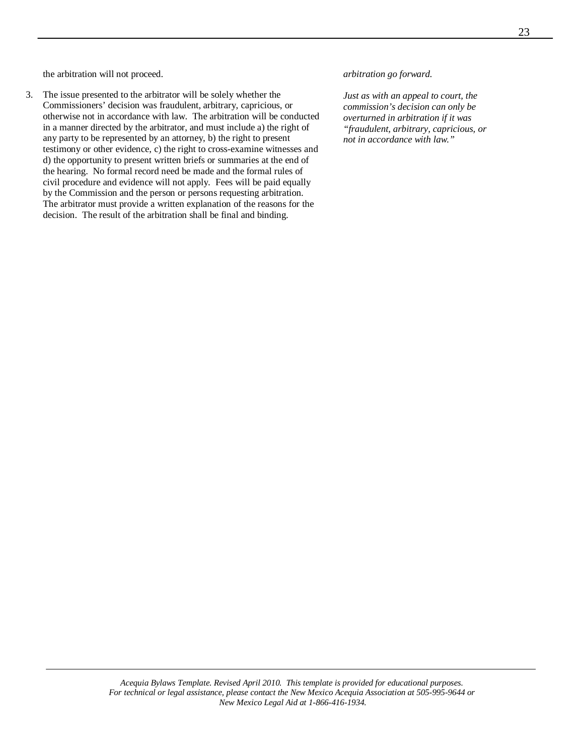the arbitration will not proceed.

3. The issue presented to the arbitrator will be solely whether the Commissioners' decision was fraudulent, arbitrary, capricious, or otherwise not in accordance with law. The arbitration will be conducted in a manner directed by the arbitrator, and must include a) the right of any party to be represented by an attorney, b) the right to present testimony or other evidence, c) the right to cross-examine witnesses and d) the opportunity to present written briefs or summaries at the end of the hearing. No formal record need be made and the formal rules of civil procedure and evidence will not apply. Fees will be paid equally by the Commission and the person or persons requesting arbitration. The arbitrator must provide a written explanation of the reasons for the decision. The result of the arbitration shall be final and binding.

*arbitration go forward.* 

*Just as with an appeal to court, the commission's decision can only be overturned in arbitration if it was "fraudulent, arbitrary, capricious, or not in accordance with law."*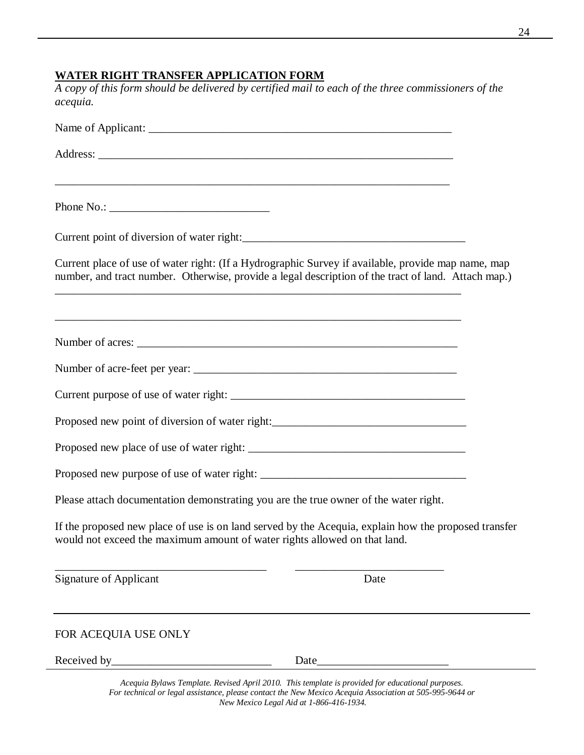# **WATER RIGHT TRANSFER APPLICATION FORM**

*A copy of this form should be delivered by certified mail to each of the three commissioners of the acequia.* 

Name of Applicant: Address: \_\_\_\_\_\_\_\_\_\_\_\_\_\_\_\_\_\_\_\_\_\_\_\_\_\_\_\_\_\_\_\_\_\_\_\_\_\_\_\_\_\_\_\_\_\_\_\_\_\_\_\_\_\_\_\_\_\_\_\_\_\_ \_\_\_\_\_\_\_\_\_\_\_\_\_\_\_\_\_\_\_\_\_\_\_\_\_\_\_\_\_\_\_\_\_\_\_\_\_\_\_\_\_\_\_\_\_\_\_\_\_\_\_\_\_\_\_\_\_\_\_\_\_\_\_\_\_\_\_\_\_ Phone No.: \_\_\_\_\_\_\_\_\_\_\_\_\_\_\_\_\_\_\_\_\_\_\_\_\_\_\_\_ Current point of diversion of water right: Current place of use of water right: (If a Hydrographic Survey if available, provide map name, map number, and tract number. Otherwise, provide a legal description of the tract of land. Attach map.) \_\_\_\_\_\_\_\_\_\_\_\_\_\_\_\_\_\_\_\_\_\_\_\_\_\_\_\_\_\_\_\_\_\_\_\_\_\_\_\_\_\_\_\_\_\_\_\_\_\_\_\_\_\_\_\_\_\_\_\_\_\_\_\_\_\_\_\_\_\_\_ \_\_\_\_\_\_\_\_\_\_\_\_\_\_\_\_\_\_\_\_\_\_\_\_\_\_\_\_\_\_\_\_\_\_\_\_\_\_\_\_\_\_\_\_\_\_\_\_\_\_\_\_\_\_\_\_\_\_\_\_\_\_\_\_\_\_\_\_\_\_\_ Number of acres: \_\_\_\_\_\_\_\_\_\_\_\_\_\_\_\_\_\_\_\_\_\_\_\_\_\_\_\_\_\_\_\_\_\_\_\_\_\_\_\_\_\_\_\_\_\_\_\_\_\_\_\_\_\_\_\_ Number of acre-feet per year: Current purpose of use of water right: Proposed new point of diversion of water right: \_\_\_\_\_\_\_\_\_\_\_\_\_\_\_\_\_\_\_\_\_\_\_\_\_\_\_\_\_\_\_\_\_ Proposed new place of use of water right: \_\_\_\_\_\_\_\_\_\_\_\_\_\_\_\_\_\_\_\_\_\_\_\_\_\_\_\_\_\_\_\_\_\_\_\_\_\_ Proposed new purpose of use of water right: \_\_\_\_\_\_\_\_\_\_\_\_\_\_\_\_\_\_\_\_\_\_\_\_\_\_\_\_\_\_\_\_\_\_\_\_ Please attach documentation demonstrating you are the true owner of the water right. If the proposed new place of use is on land served by the Acequia, explain how the proposed transfer would not exceed the maximum amount of water rights allowed on that land. \_\_\_\_\_\_\_\_\_\_\_\_\_\_\_\_\_\_\_\_\_\_\_\_\_\_\_\_\_\_\_\_\_\_\_\_\_ \_\_\_\_\_\_\_\_\_\_\_\_\_\_\_\_\_\_\_\_\_\_\_\_\_\_ Signature of Applicant Date

# FOR ACEQUIA USE ONLY

Received by\_\_\_\_\_\_\_\_\_\_\_\_\_\_\_\_\_\_\_\_\_\_\_\_\_\_\_\_ Date\_\_\_\_\_\_\_\_\_\_\_\_\_\_\_\_\_\_\_\_\_\_\_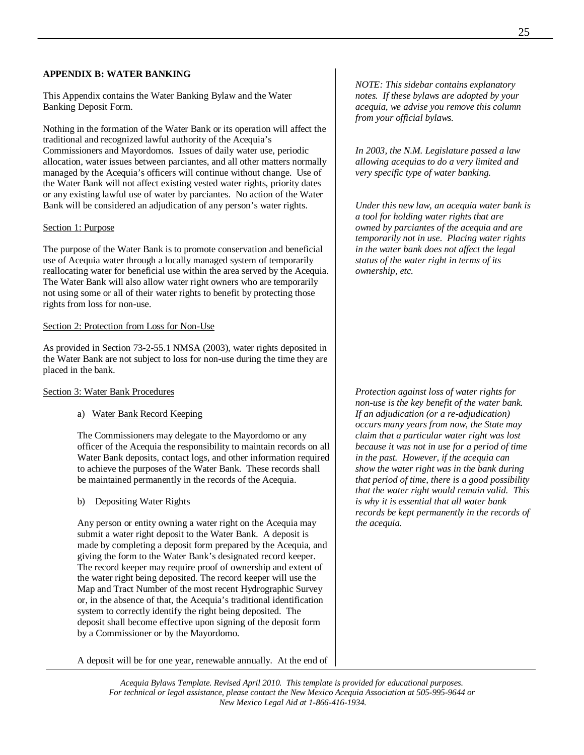#### **APPENDIX B: WATER BANKING**

This Appendix contains the Water Banking Bylaw and the Water Banking Deposit Form.

Nothing in the formation of the Water Bank or its operation will affect the traditional and recognized lawful authority of the Acequia's Commissioners and Mayordomos. Issues of daily water use, periodic allocation, water issues between parciantes, and all other matters normally managed by the Acequia's officers will continue without change. Use of the Water Bank will not affect existing vested water rights, priority dates or any existing lawful use of water by parciantes. No action of the Water Bank will be considered an adjudication of any person's water rights.

#### Section 1: Purpose

The purpose of the Water Bank is to promote conservation and beneficial use of Acequia water through a locally managed system of temporarily reallocating water for beneficial use within the area served by the Acequia. The Water Bank will also allow water right owners who are temporarily not using some or all of their water rights to benefit by protecting those rights from loss for non-use.

#### Section 2: Protection from Loss for Non-Use

As provided in Section 73-2-55.1 NMSA (2003), water rights deposited in the Water Bank are not subject to loss for non-use during the time they are placed in the bank.

#### Section 3: Water Bank Procedures

#### a) Water Bank Record Keeping

The Commissioners may delegate to the Mayordomo or any officer of the Acequia the responsibility to maintain records on all Water Bank deposits, contact logs, and other information required to achieve the purposes of the Water Bank. These records shall be maintained permanently in the records of the Acequia.

b) Depositing Water Rights

Any person or entity owning a water right on the Acequia may submit a water right deposit to the Water Bank. A deposit is made by completing a deposit form prepared by the Acequia, and giving the form to the Water Bank's designated record keeper. The record keeper may require proof of ownership and extent of the water right being deposited. The record keeper will use the Map and Tract Number of the most recent Hydrographic Survey or, in the absence of that, the Acequia's traditional identification system to correctly identify the right being deposited. The deposit shall become effective upon signing of the deposit form by a Commissioner or by the Mayordomo.

A deposit will be for one year, renewable annually. At the end of

*NOTE: This sidebar contains explanatory notes. If these bylaws are adopted by your acequia, we advise you remove this column from your official bylaws.* 

*In 2003, the N.M. Legislature passed a law allowing acequias to do a very limited and very specific type of water banking.* 

*Under this new law, an acequia water bank is a tool for holding water rights that are owned by parciantes of the acequia and are temporarily not in use. Placing water rights in the water bank does not affect the legal status of the water right in terms of its ownership, etc.* 

*Protection against loss of water rights for non-use is the key benefit of the water bank. If an adjudication (or a re-adjudication) occurs many years from now, the State may claim that a particular water right was lost because it was not in use for a period of time in the past. However, if the acequia can show the water right was in the bank during that period of time, there is a good possibility that the water right would remain valid. This is why it is essential that all water bank records be kept permanently in the records of the acequia.*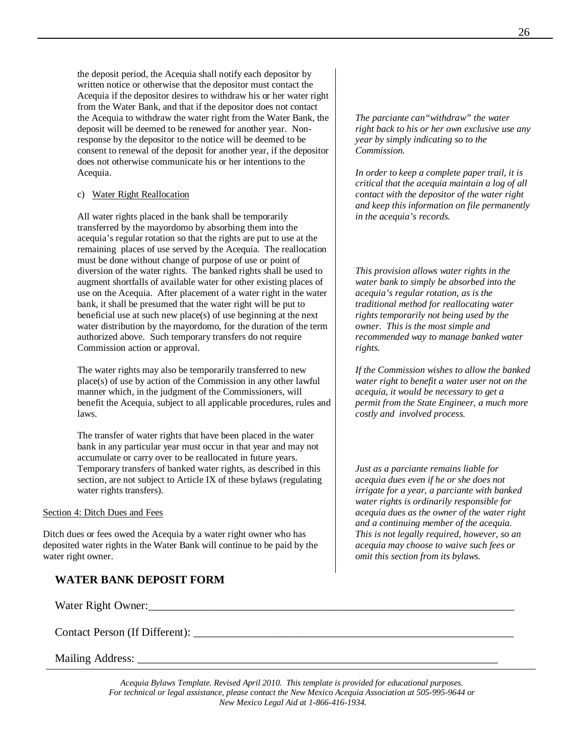the deposit period, the Acequia shall notify each depositor by written notice or otherwise that the depositor must contact the Acequia if the depositor desires to withdraw his or her water right from the Water Bank, and that if the depositor does not contact the Acequia to withdraw the water right from the Water Bank, the deposit will be deemed to be renewed for another year. Nonresponse by the depositor to the notice will be deemed to be consent to renewal of the deposit for another year, if the depositor does not otherwise communicate his or her intentions to the Acequia.

#### c) Water Right Reallocation

All water rights placed in the bank shall be temporarily transferred by the mayordomo by absorbing them into the acequia's regular rotation so that the rights are put to use at the remaining places of use served by the Acequia. The reallocation must be done without change of purpose of use or point of diversion of the water rights. The banked rights shall be used to augment shortfalls of available water for other existing places of use on the Acequia. After placement of a water right in the water bank, it shall be presumed that the water right will be put to beneficial use at such new place(s) of use beginning at the next water distribution by the mayordomo, for the duration of the term authorized above. Such temporary transfers do not require Commission action or approval.

The water rights may also be temporarily transferred to new place(s) of use by action of the Commission in any other lawful manner which, in the judgment of the Commissioners, will benefit the Acequia, subject to all applicable procedures, rules and laws.

The transfer of water rights that have been placed in the water bank in any particular year must occur in that year and may not accumulate or carry over to be reallocated in future years. Temporary transfers of banked water rights, as described in this section, are not subject to Article IX of these bylaws (regulating water rights transfers).

Section 4: Ditch Dues and Fees

Ditch dues or fees owed the Acequia by a water right owner who has deposited water rights in the Water Bank will continue to be paid by the water right owner.

# **WATER BANK DEPOSIT FORM**

Water Right Owner:

Contact Person (If Different):

Mailing Address:

*The parciante can"withdraw" the water right back to his or her own exclusive use any year by simply indicating so to the Commission.* 

*In order to keep a complete paper trail, it is critical that the acequia maintain a log of all contact with the depositor of the water right and keep this information on file permanently in the acequia's records.* 

*This provision allows water rights in the water bank to simply be absorbed into the acequia's regular rotation, as is the traditional method for reallocating water rights temporarily not being used by the owner. This is the most simple and recommended way to manage banked water rights.* 

*If the Commission wishes to allow the banked water right to benefit a water user not on the acequia, it would be necessary to get a permit from the State Engineer, a much more costly and involved process.* 

*Just as a parciante remains liable for acequia dues even if he or she does not irrigate for a year, a parciante with banked water rights is ordinarily responsible for acequia dues as the owner of the water right and a continuing member of the acequia. This is not legally required, however, so an acequia may choose to waive such fees or omit this section from its bylaws.*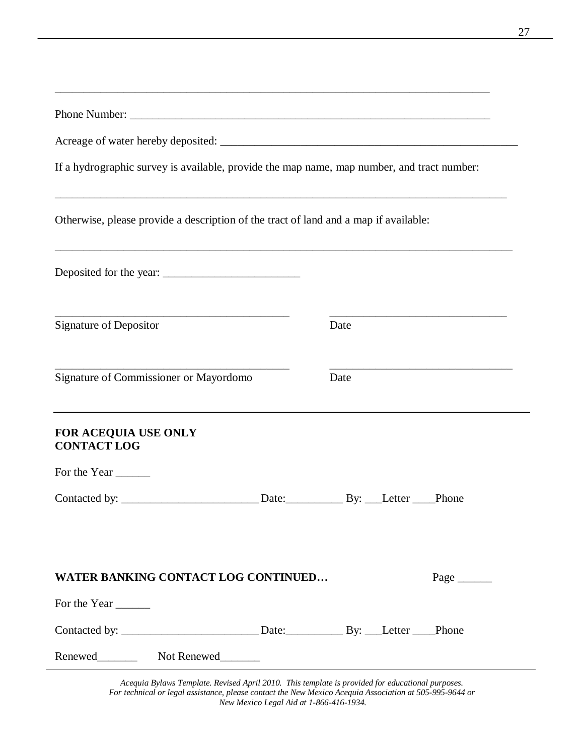| If a hydrographic survey is available, provide the map name, map number, and tract number: |                        |
|--------------------------------------------------------------------------------------------|------------------------|
| Otherwise, please provide a description of the tract of land and a map if available:       |                        |
|                                                                                            |                        |
| <b>Signature of Depositor</b>                                                              | Date                   |
| Signature of Commissioner or Mayordomo                                                     | Date                   |
| <b>FOR ACEQUIA USE ONLY</b><br><b>CONTACT LOG</b>                                          |                        |
| For the Year                                                                               |                        |
|                                                                                            |                        |
|                                                                                            |                        |
| <b>WATER BANKING CONTACT LOG CONTINUED</b>                                                 | Page $\_\_\_\_\_\_\_\$ |
| For the Year _______                                                                       |                        |
|                                                                                            |                        |
|                                                                                            |                        |

*Acequia Bylaws Template. Revised April 2010. This template is provided for educational purposes. For technical or legal assistance, please contact the New Mexico Acequia Association at 505-995-9644 or New Mexico Legal Aid at 1-866-416-1934.* 

 $\overline{a}$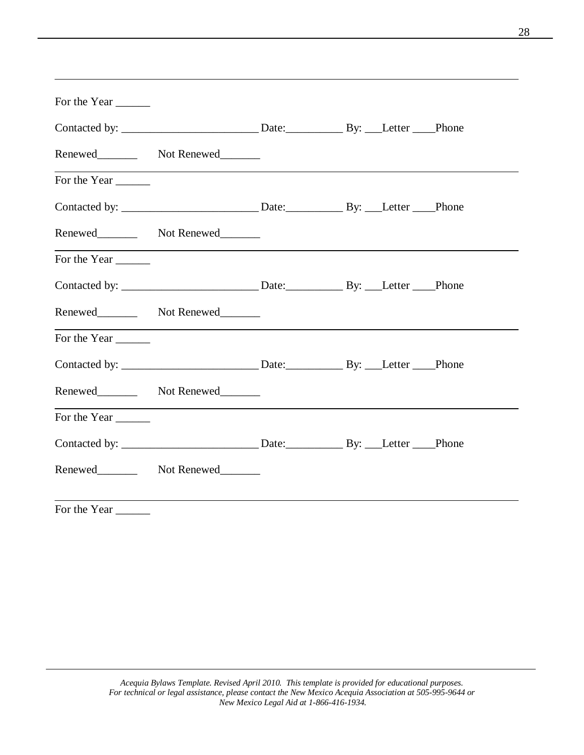| For the Year ______ |                                                                                                                  |                                                                                                                        |  |
|---------------------|------------------------------------------------------------------------------------------------------------------|------------------------------------------------------------------------------------------------------------------------|--|
|                     |                                                                                                                  |                                                                                                                        |  |
|                     |                                                                                                                  |                                                                                                                        |  |
|                     | and the control of the control of the control of the control of the control of the control of the control of the |                                                                                                                        |  |
|                     |                                                                                                                  |                                                                                                                        |  |
|                     |                                                                                                                  |                                                                                                                        |  |
|                     |                                                                                                                  | <u> 1989 - Andrea San Andrea San Andrea San Andrea San Andrea San Andrea San Andrea San Andrea San Andrea San Andr</u> |  |
|                     |                                                                                                                  |                                                                                                                        |  |
|                     |                                                                                                                  |                                                                                                                        |  |
| For the Year        |                                                                                                                  |                                                                                                                        |  |
|                     |                                                                                                                  |                                                                                                                        |  |
|                     | Renewed__________ Not Renewed________                                                                            |                                                                                                                        |  |
| For the Year        |                                                                                                                  |                                                                                                                        |  |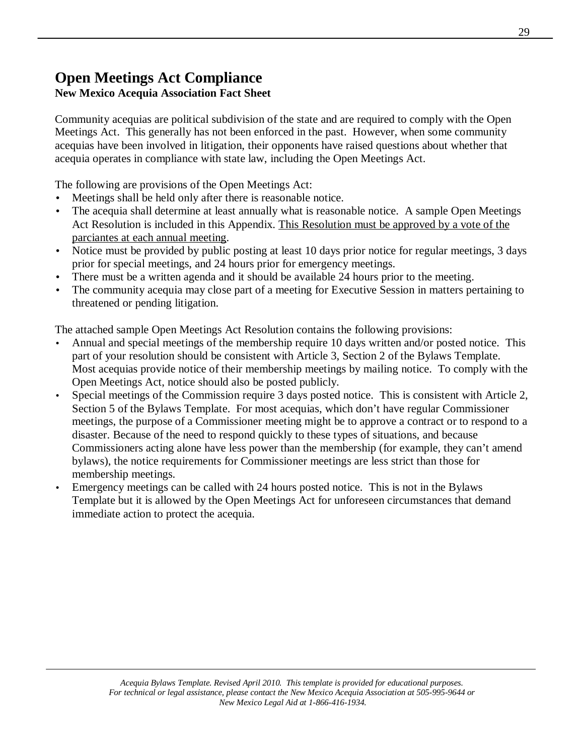# **Open Meetings Act Compliance**

# **New Mexico Acequia Association Fact Sheet**

Community acequias are political subdivision of the state and are required to comply with the Open Meetings Act. This generally has not been enforced in the past. However, when some community acequias have been involved in litigation, their opponents have raised questions about whether that acequia operates in compliance with state law, including the Open Meetings Act.

The following are provisions of the Open Meetings Act:

- Meetings shall be held only after there is reasonable notice.
- The acequia shall determine at least annually what is reasonable notice. A sample Open Meetings Act Resolution is included in this Appendix. This Resolution must be approved by a vote of the parciantes at each annual meeting.
- Notice must be provided by public posting at least 10 days prior notice for regular meetings, 3 days prior for special meetings, and 24 hours prior for emergency meetings.
- There must be a written agenda and it should be available 24 hours prior to the meeting.
- The community acequia may close part of a meeting for Executive Session in matters pertaining to threatened or pending litigation.

The attached sample Open Meetings Act Resolution contains the following provisions:

- Annual and special meetings of the membership require 10 days written and/or posted notice. This part of your resolution should be consistent with Article 3, Section 2 of the Bylaws Template. Most acequias provide notice of their membership meetings by mailing notice. To comply with the Open Meetings Act, notice should also be posted publicly.
- Special meetings of the Commission require 3 days posted notice. This is consistent with Article 2, Section 5 of the Bylaws Template. For most acequias, which don't have regular Commissioner meetings, the purpose of a Commissioner meeting might be to approve a contract or to respond to a disaster. Because of the need to respond quickly to these types of situations, and because Commissioners acting alone have less power than the membership (for example, they can't amend bylaws), the notice requirements for Commissioner meetings are less strict than those for membership meetings.
- Emergency meetings can be called with 24 hours posted notice. This is not in the Bylaws Template but it is allowed by the Open Meetings Act for unforeseen circumstances that demand immediate action to protect the acequia.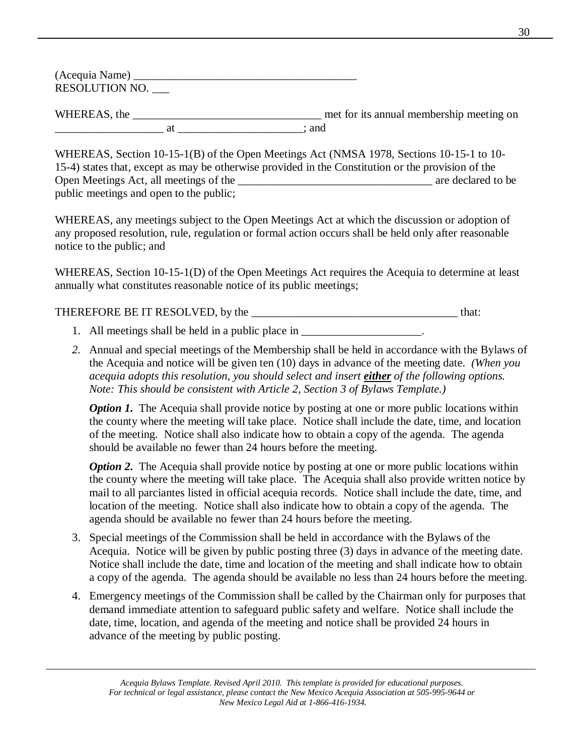(Acequia Name) \_\_\_\_\_\_\_\_\_\_\_\_\_\_\_\_\_\_\_\_\_\_\_\_\_\_\_\_\_\_\_\_\_\_\_\_\_\_\_ RESOLUTION NO. \_\_\_

WHEREAS, the **whereas** met for its annual membership meeting on at and at  $\overline{a}$  and  $\overline{a}$ 

WHEREAS, Section 10-15-1(B) of the Open Meetings Act (NMSA 1978, Sections 10-15-1 to 10- 15-4) states that, except as may be otherwise provided in the Constitution or the provision of the Open Meetings Act, all meetings of the \_\_\_\_\_\_\_\_\_\_\_\_\_\_\_\_\_\_\_\_\_\_\_\_\_\_\_\_\_\_\_\_\_\_ are declared to be public meetings and open to the public;

WHEREAS, any meetings subject to the Open Meetings Act at which the discussion or adoption of any proposed resolution, rule, regulation or formal action occurs shall be held only after reasonable notice to the public; and

WHEREAS, Section 10-15-1(D) of the Open Meetings Act requires the Acequia to determine at least annually what constitutes reasonable notice of its public meetings;

THEREFORE BE IT RESOLVED, by the \_\_\_\_\_\_\_\_\_\_\_\_\_\_\_\_\_\_\_\_\_\_\_\_\_\_\_\_\_\_\_\_\_\_\_\_ that:

- 1. All meetings shall be held in a public place in
- *2.* Annual and special meetings of the Membership shall be held in accordance with the Bylaws of the Acequia and notice will be given ten (10) days in advance of the meeting date. *(When you acequia adopts this resolution, you should select and insert either of the following options. Note: This should be consistent with Article 2, Section 3 of Bylaws Template.)*

*Option 1.* The Acequia shall provide notice by posting at one or more public locations within the county where the meeting will take place. Notice shall include the date, time, and location of the meeting. Notice shall also indicate how to obtain a copy of the agenda. The agenda should be available no fewer than 24 hours before the meeting.

*Option 2.* The Acequia shall provide notice by posting at one or more public locations within the county where the meeting will take place. The Acequia shall also provide written notice by mail to all parciantes listed in official acequia records. Notice shall include the date, time, and location of the meeting. Notice shall also indicate how to obtain a copy of the agenda. The agenda should be available no fewer than 24 hours before the meeting.

- 3. Special meetings of the Commission shall be held in accordance with the Bylaws of the Acequia. Notice will be given by public posting three (3) days in advance of the meeting date. Notice shall include the date, time and location of the meeting and shall indicate how to obtain a copy of the agenda. The agenda should be available no less than 24 hours before the meeting.
- 4. Emergency meetings of the Commission shall be called by the Chairman only for purposes that demand immediate attention to safeguard public safety and welfare. Notice shall include the date, time, location, and agenda of the meeting and notice shall be provided 24 hours in advance of the meeting by public posting.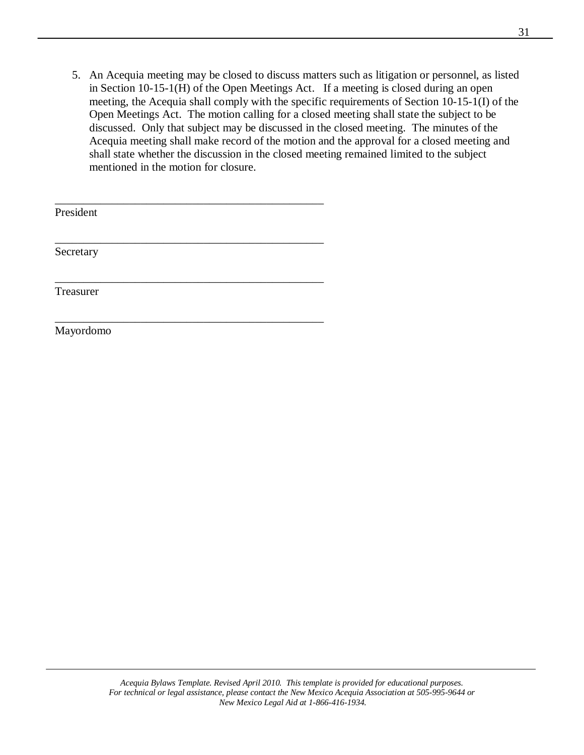5. An Acequia meeting may be closed to discuss matters such as litigation or personnel, as listed in Section 10-15-1(H) of the Open Meetings Act. If a meeting is closed during an open meeting, the Acequia shall comply with the specific requirements of Section 10-15-1(I) of the Open Meetings Act. The motion calling for a closed meeting shall state the subject to be discussed. Only that subject may be discussed in the closed meeting. The minutes of the Acequia meeting shall make record of the motion and the approval for a closed meeting and shall state whether the discussion in the closed meeting remained limited to the subject mentioned in the motion for closure.

| President |  |  |
|-----------|--|--|
| Secretary |  |  |
| Treasurer |  |  |

\_\_\_\_\_\_\_\_\_\_\_\_\_\_\_\_\_\_\_\_\_\_\_\_\_\_\_\_\_\_\_\_\_\_\_\_\_\_\_\_\_\_\_\_\_\_\_

Mayordomo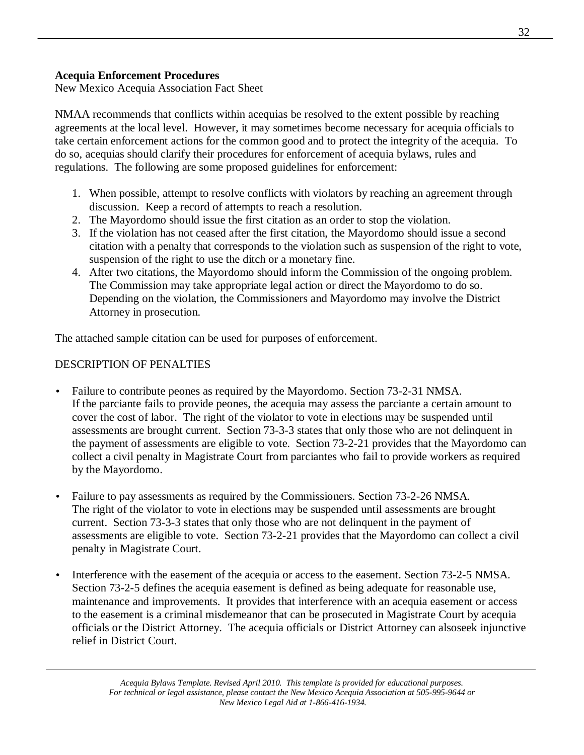# **Acequia Enforcement Procedures**

New Mexico Acequia Association Fact Sheet

NMAA recommends that conflicts within acequias be resolved to the extent possible by reaching agreements at the local level. However, it may sometimes become necessary for acequia officials to take certain enforcement actions for the common good and to protect the integrity of the acequia. To do so, acequias should clarify their procedures for enforcement of acequia bylaws, rules and regulations. The following are some proposed guidelines for enforcement:

- 1. When possible, attempt to resolve conflicts with violators by reaching an agreement through discussion. Keep a record of attempts to reach a resolution.
- 2. The Mayordomo should issue the first citation as an order to stop the violation.
- 3. If the violation has not ceased after the first citation, the Mayordomo should issue a second citation with a penalty that corresponds to the violation such as suspension of the right to vote, suspension of the right to use the ditch or a monetary fine.
- 4. After two citations, the Mayordomo should inform the Commission of the ongoing problem. The Commission may take appropriate legal action or direct the Mayordomo to do so. Depending on the violation, the Commissioners and Mayordomo may involve the District Attorney in prosecution.

The attached sample citation can be used for purposes of enforcement.

# DESCRIPTION OF PENALTIES

- Failure to contribute peones as required by the Mayordomo. Section 73-2-31 NMSA. If the parciante fails to provide peones, the acequia may assess the parciante a certain amount to cover the cost of labor. The right of the violator to vote in elections may be suspended until assessments are brought current. Section 73-3-3 states that only those who are not delinquent in the payment of assessments are eligible to vote. Section 73-2-21 provides that the Mayordomo can collect a civil penalty in Magistrate Court from parciantes who fail to provide workers as required by the Mayordomo.
- Failure to pay assessments as required by the Commissioners. Section 73-2-26 NMSA. The right of the violator to vote in elections may be suspended until assessments are brought current. Section 73-3-3 states that only those who are not delinquent in the payment of assessments are eligible to vote. Section 73-2-21 provides that the Mayordomo can collect a civil penalty in Magistrate Court.
- Interference with the easement of the acequia or access to the easement. Section 73-2-5 NMSA. Section 73-2-5 defines the acequia easement is defined as being adequate for reasonable use, maintenance and improvements. It provides that interference with an acequia easement or access to the easement is a criminal misdemeanor that can be prosecuted in Magistrate Court by acequia officials or the District Attorney. The acequia officials or District Attorney can alsoseek injunctive relief in District Court.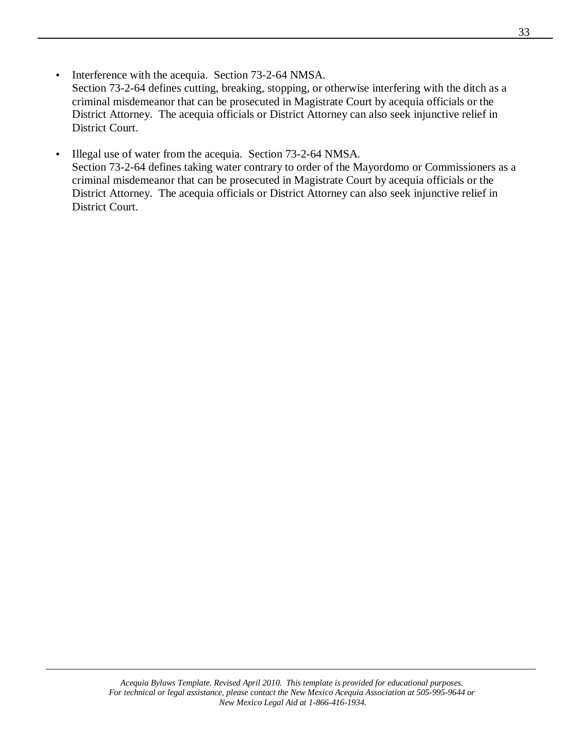- Interference with the acequia. Section 73-2-64 NMSA. Section 73-2-64 defines cutting, breaking, stopping, or otherwise interfering with the ditch as a criminal misdemeanor that can be prosecuted in Magistrate Court by acequia officials or the District Attorney. The acequia officials or District Attorney can also seek injunctive relief in District Court.
- Illegal use of water from the acequia. Section 73-2-64 NMSA. Section 73-2-64 defines taking water contrary to order of the Mayordomo or Commissioners as a criminal misdemeanor that can be prosecuted in Magistrate Court by acequia officials or the District Attorney. The acequia officials or District Attorney can also seek injunctive relief in District Court.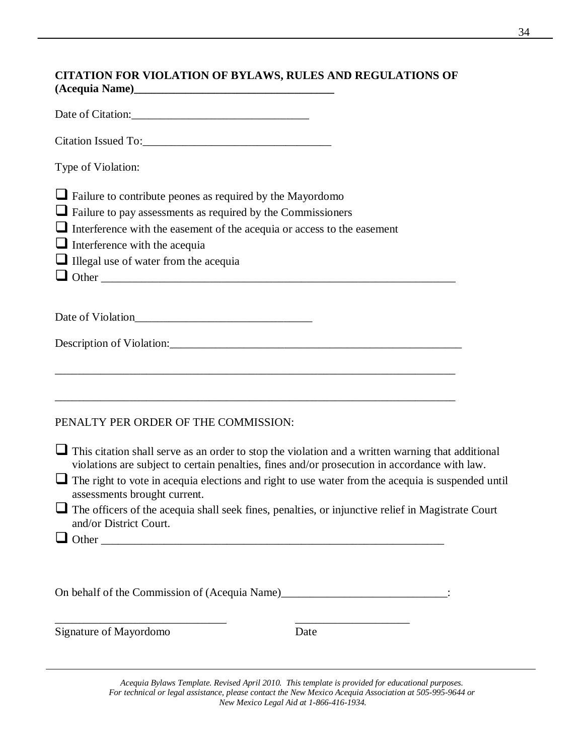# **CITATION FOR VIOLATION OF BYLAWS, RULES AND REGULATIONS OF (Acequia Name)\_\_\_\_\_\_\_\_\_\_\_\_\_\_\_\_\_\_\_\_\_\_\_\_\_\_\_\_\_\_\_\_\_\_\_**

| Type of Violation:                                                                                                                                                                                                                                                                                               |
|------------------------------------------------------------------------------------------------------------------------------------------------------------------------------------------------------------------------------------------------------------------------------------------------------------------|
| $\Box$ Failure to contribute peones as required by the Mayordomo<br>$\Box$ Failure to pay assessments as required by the Commissioners<br>$\Box$ Interference with the easement of the acequia or access to the easement<br>$\Box$ Interference with the acequia<br>$\Box$ Illegal use of water from the acequia |
|                                                                                                                                                                                                                                                                                                                  |
| Description of Violation:                                                                                                                                                                                                                                                                                        |
|                                                                                                                                                                                                                                                                                                                  |
| PENALTY PER ORDER OF THE COMMISSION:                                                                                                                                                                                                                                                                             |
| This citation shall serve as an order to stop the violation and a written warning that additional<br>violations are subject to certain penalties, fines and/or prosecution in accordance with law.                                                                                                               |
| The right to vote in acequia elections and right to use water from the acequia is suspended until<br>assessments brought current.                                                                                                                                                                                |
| The officers of the acequia shall seek fines, penalties, or injunctive relief in Magistrate Court<br>and/or District Court.                                                                                                                                                                                      |
|                                                                                                                                                                                                                                                                                                                  |
| On behalf of the Commission of (Acequia Name)___________________________________                                                                                                                                                                                                                                 |
| Signature of Mayordomo<br>Date                                                                                                                                                                                                                                                                                   |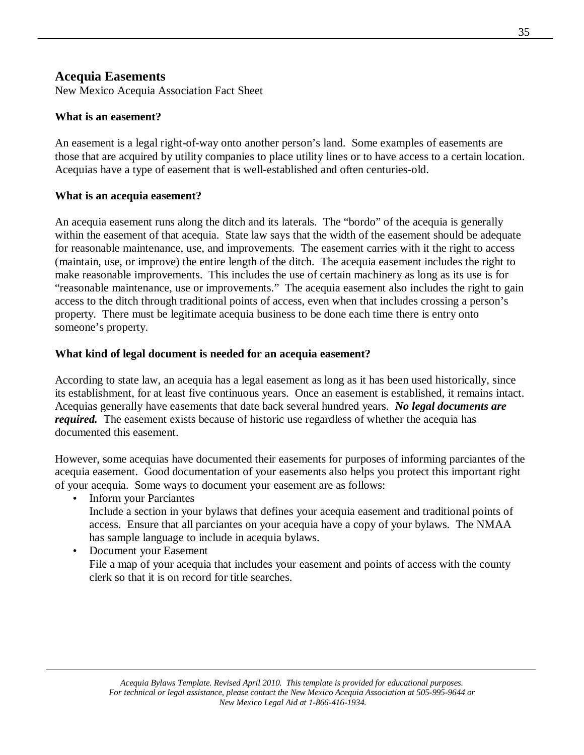# **Acequia Easements**

New Mexico Acequia Association Fact Sheet

# **What is an easement?**

An easement is a legal right-of-way onto another person's land. Some examples of easements are those that are acquired by utility companies to place utility lines or to have access to a certain location. Acequias have a type of easement that is well-established and often centuries-old.

# **What is an acequia easement?**

An acequia easement runs along the ditch and its laterals. The "bordo" of the acequia is generally within the easement of that acequia. State law says that the width of the easement should be adequate for reasonable maintenance, use, and improvements. The easement carries with it the right to access (maintain, use, or improve) the entire length of the ditch. The acequia easement includes the right to make reasonable improvements. This includes the use of certain machinery as long as its use is for "reasonable maintenance, use or improvements." The acequia easement also includes the right to gain access to the ditch through traditional points of access, even when that includes crossing a person's property. There must be legitimate acequia business to be done each time there is entry onto someone's property.

# **What kind of legal document is needed for an acequia easement?**

According to state law, an acequia has a legal easement as long as it has been used historically, since its establishment, for at least five continuous years. Once an easement is established, it remains intact. Acequias generally have easements that date back several hundred years. *No legal documents are required.* The easement exists because of historic use regardless of whether the acequia has documented this easement.

However, some acequias have documented their easements for purposes of informing parciantes of the acequia easement. Good documentation of your easements also helps you protect this important right of your acequia. Some ways to document your easement are as follows:

• Inform your Parciantes

Include a section in your bylaws that defines your acequia easement and traditional points of access. Ensure that all parciantes on your acequia have a copy of your bylaws. The NMAA has sample language to include in acequia bylaws.

• Document your Easement File a map of your acequia that includes your easement and points of access with the county clerk so that it is on record for title searches.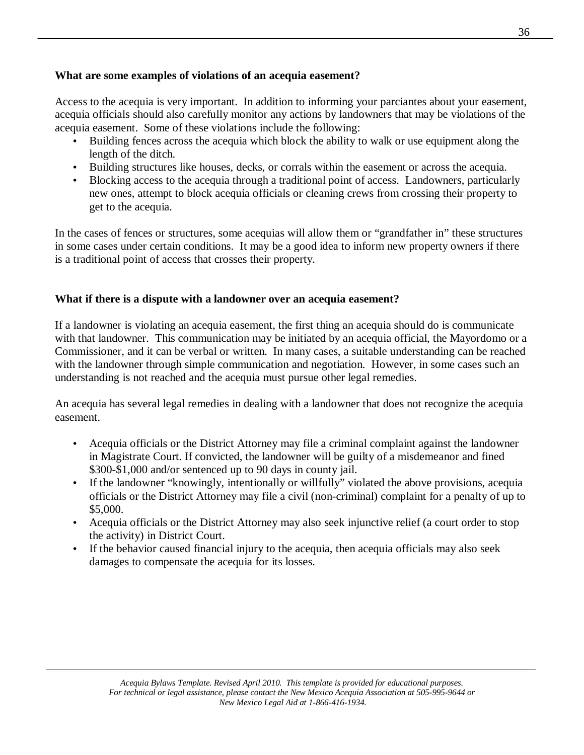# **What are some examples of violations of an acequia easement?**

Access to the acequia is very important. In addition to informing your parciantes about your easement, acequia officials should also carefully monitor any actions by landowners that may be violations of the acequia easement. Some of these violations include the following:

- Building fences across the acequia which block the ability to walk or use equipment along the length of the ditch.
- Building structures like houses, decks, or corrals within the easement or across the acequia.
- Blocking access to the acequia through a traditional point of access. Landowners, particularly new ones, attempt to block acequia officials or cleaning crews from crossing their property to get to the acequia.

In the cases of fences or structures, some acequias will allow them or "grandfather in" these structures in some cases under certain conditions. It may be a good idea to inform new property owners if there is a traditional point of access that crosses their property.

# **What if there is a dispute with a landowner over an acequia easement?**

If a landowner is violating an acequia easement, the first thing an acequia should do is communicate with that landowner. This communication may be initiated by an acequia official, the Mayordomo or a Commissioner, and it can be verbal or written. In many cases, a suitable understanding can be reached with the landowner through simple communication and negotiation. However, in some cases such an understanding is not reached and the acequia must pursue other legal remedies.

An acequia has several legal remedies in dealing with a landowner that does not recognize the acequia easement.

- Acequia officials or the District Attorney may file a criminal complaint against the landowner in Magistrate Court. If convicted, the landowner will be guilty of a misdemeanor and fined \$300-\$1,000 and/or sentenced up to 90 days in county jail.
- If the landowner "knowingly, intentionally or willfully" violated the above provisions, acequia officials or the District Attorney may file a civil (non-criminal) complaint for a penalty of up to \$5,000.
- Acequia officials or the District Attorney may also seek injunctive relief (a court order to stop the activity) in District Court.
- If the behavior caused financial injury to the acequia, then acequia officials may also seek damages to compensate the acequia for its losses.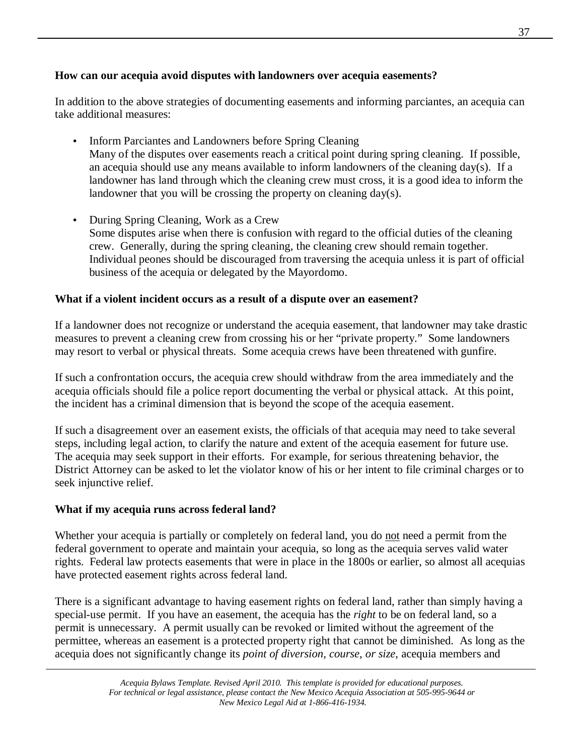# **How can our acequia avoid disputes with landowners over acequia easements?**

In addition to the above strategies of documenting easements and informing parciantes, an acequia can take additional measures:

- Inform Parciantes and Landowners before Spring Cleaning Many of the disputes over easements reach a critical point during spring cleaning. If possible, an acequia should use any means available to inform landowners of the cleaning day(s). If a landowner has land through which the cleaning crew must cross, it is a good idea to inform the landowner that you will be crossing the property on cleaning day(s).
- During Spring Cleaning, Work as a Crew Some disputes arise when there is confusion with regard to the official duties of the cleaning crew. Generally, during the spring cleaning, the cleaning crew should remain together. Individual peones should be discouraged from traversing the acequia unless it is part of official business of the acequia or delegated by the Mayordomo.

# **What if a violent incident occurs as a result of a dispute over an easement?**

If a landowner does not recognize or understand the acequia easement, that landowner may take drastic measures to prevent a cleaning crew from crossing his or her "private property." Some landowners may resort to verbal or physical threats. Some acequia crews have been threatened with gunfire.

If such a confrontation occurs, the acequia crew should withdraw from the area immediately and the acequia officials should file a police report documenting the verbal or physical attack. At this point, the incident has a criminal dimension that is beyond the scope of the acequia easement.

If such a disagreement over an easement exists, the officials of that acequia may need to take several steps, including legal action, to clarify the nature and extent of the acequia easement for future use. The acequia may seek support in their efforts. For example, for serious threatening behavior, the District Attorney can be asked to let the violator know of his or her intent to file criminal charges or to seek injunctive relief.

# **What if my acequia runs across federal land?**

Whether your acequia is partially or completely on federal land, you do not need a permit from the federal government to operate and maintain your acequia, so long as the acequia serves valid water rights. Federal law protects easements that were in place in the 1800s or earlier, so almost all acequias have protected easement rights across federal land.

There is a significant advantage to having easement rights on federal land, rather than simply having a special-use permit. If you have an easement, the acequia has the *right* to be on federal land, so a permit is unnecessary. A permit usually can be revoked or limited without the agreement of the permittee, whereas an easement is a protected property right that cannot be diminished. As long as the acequia does not significantly change its *point of diversion, course, or size*, acequia members and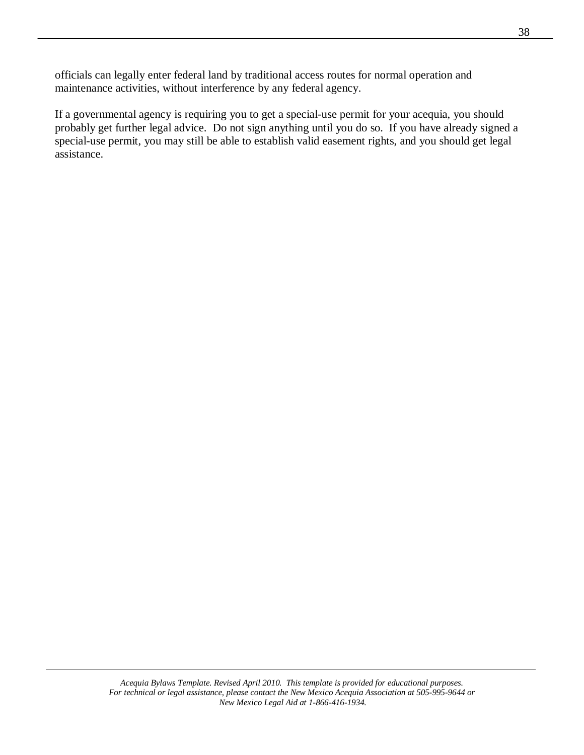officials can legally enter federal land by traditional access routes for normal operation and maintenance activities, without interference by any federal agency.

If a governmental agency is requiring you to get a special-use permit for your acequia, you should probably get further legal advice. Do not sign anything until you do so. If you have already signed a special-use permit, you may still be able to establish valid easement rights, and you should get legal assistance.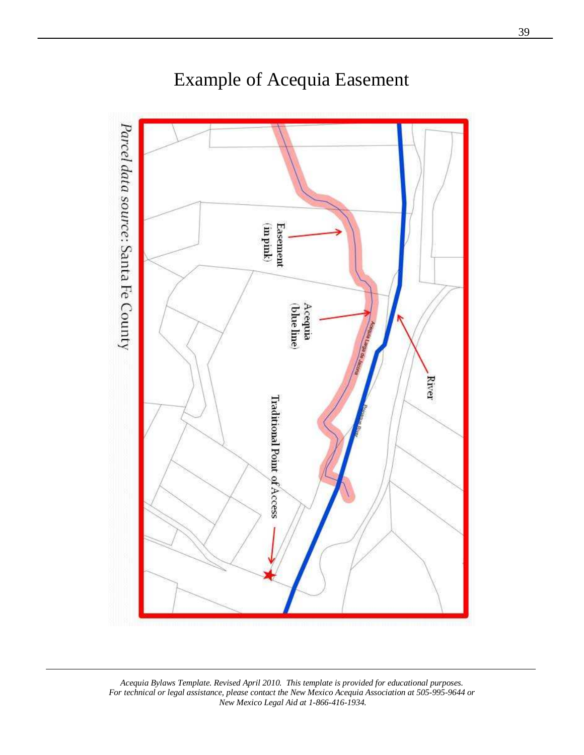

# Example of Acequia Easement

*Acequia Bylaws Template. Revised April 2010. This template is provided for educational purposes. For technical or legal assistance, please contact the New Mexico Acequia Association at 505-995-9644 or New Mexico Legal Aid at 1-866-416-1934.*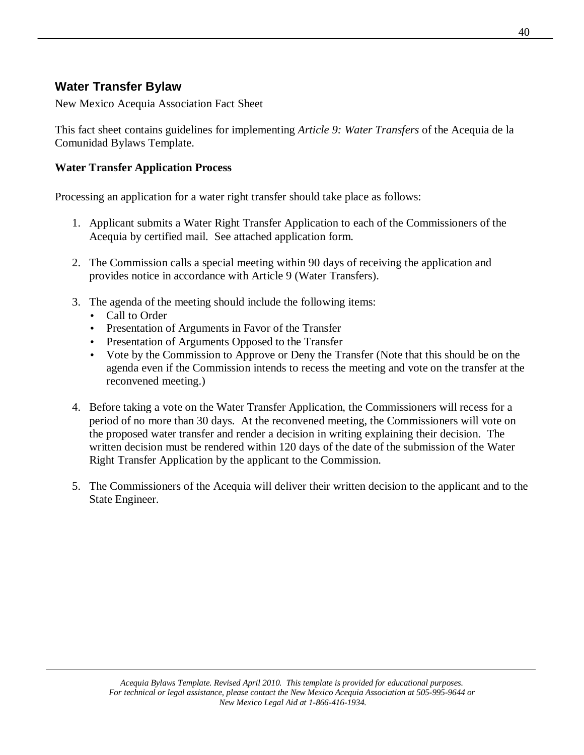# **Water Transfer Bylaw**

New Mexico Acequia Association Fact Sheet

This fact sheet contains guidelines for implementing *Article 9: Water Transfers* of the Acequia de la Comunidad Bylaws Template.

# **Water Transfer Application Process**

Processing an application for a water right transfer should take place as follows:

- 1. Applicant submits a Water Right Transfer Application to each of the Commissioners of the Acequia by certified mail. See attached application form.
- 2. The Commission calls a special meeting within 90 days of receiving the application and provides notice in accordance with Article 9 (Water Transfers).
- 3. The agenda of the meeting should include the following items:
	- Call to Order
	- Presentation of Arguments in Favor of the Transfer
	- Presentation of Arguments Opposed to the Transfer
	- Vote by the Commission to Approve or Deny the Transfer (Note that this should be on the agenda even if the Commission intends to recess the meeting and vote on the transfer at the reconvened meeting.)
- 4. Before taking a vote on the Water Transfer Application, the Commissioners will recess for a period of no more than 30 days. At the reconvened meeting, the Commissioners will vote on the proposed water transfer and render a decision in writing explaining their decision. The written decision must be rendered within 120 days of the date of the submission of the Water Right Transfer Application by the applicant to the Commission.
- 5. The Commissioners of the Acequia will deliver their written decision to the applicant and to the State Engineer.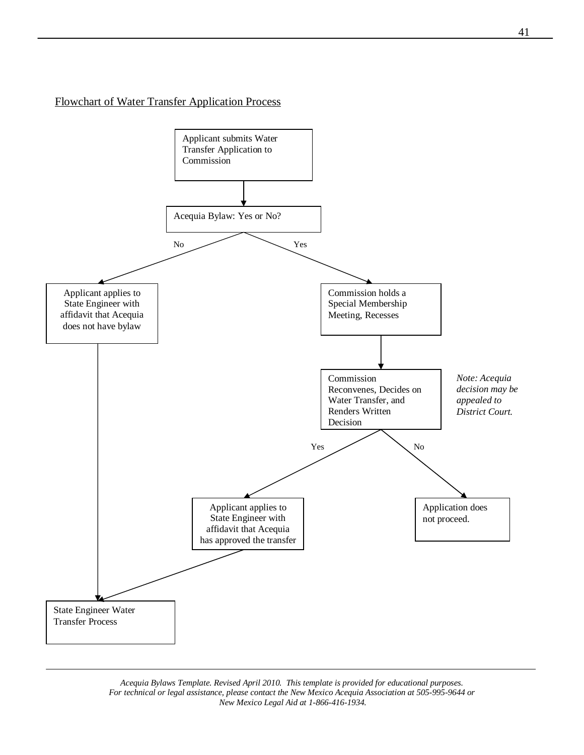### Flowchart of Water Transfer Application Process